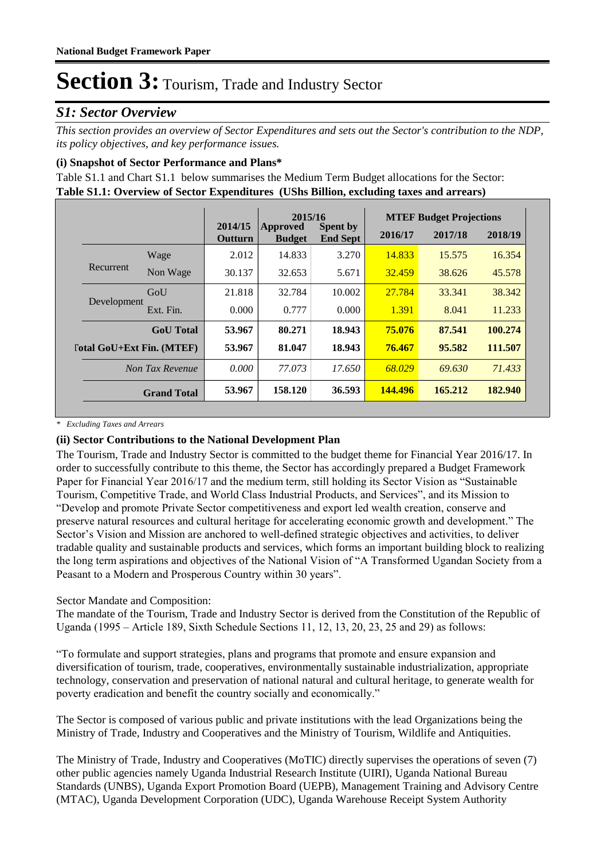#### *S1: Sector Overview*

*This section provides an overview of Sector Expenditures and sets out the Sector's contribution to the NDP, its policy objectives, and key performance issues.* 

#### **(i) Snapshot of Sector Performance and Plans\***

**Table S1.1: Overview of Sector Expenditures (UShs Billion, excluding taxes and arrears)** Table S1.1 and Chart S1.1 below summarises the Medium Term Budget allocations for the Sector:

|                           |                    |                           | 2015/16                          |                                    |         | <b>MTEF Budget Projections</b> |         |
|---------------------------|--------------------|---------------------------|----------------------------------|------------------------------------|---------|--------------------------------|---------|
|                           |                    | 2014/15<br><b>Outturn</b> | <b>Approved</b><br><b>Budget</b> | <b>Spent by</b><br><b>End Sept</b> | 2016/17 | 2017/18                        | 2018/19 |
|                           | Wage               | 2.012                     | 14.833                           | 3.270                              | 14.833  | 15.575                         | 16.354  |
| Recurrent                 | Non Wage           | 30.137                    | 32.653                           | 5.671                              | 32.459  | 38.626                         | 45.578  |
| Development               | GoU                | 21.818                    | 32.784                           | 10.002                             | 27.784  | 33.341                         | 38.342  |
|                           | Ext. Fin.          | 0.000                     | 0.777                            | 0.000                              | 1.391   | 8.041                          | 11.233  |
|                           | <b>GoU</b> Total   | 53.967                    | 80.271                           | 18.943                             | 75.076  | 87.541                         | 100.274 |
| [otal GoU+Ext Fin. (MTEF) |                    | 53.967                    | 81.047                           | 18.943                             | 76.467  | 95.582                         | 111.507 |
|                           | Non Tax Revenue    | 0.000                     | 77.073                           | 17.650                             | 68.029  | 69.630                         | 71.433  |
|                           | <b>Grand Total</b> | 53.967                    | 158.120                          | 36.593                             | 144,496 | 165.212                        | 182.940 |

*\* Excluding Taxes and Arrears*

#### **(ii) Sector Contributions to the National Development Plan**

The Tourism, Trade and Industry Sector is committed to the budget theme for Financial Year 2016/17. In order to successfully contribute to this theme, the Sector has accordingly prepared a Budget Framework Paper for Financial Year 2016/17 and the medium term, still holding its Sector Vision as "Sustainable Tourism, Competitive Trade, and World Class Industrial Products, and Services", and its Mission to "Develop and promote Private Sector competitiveness and export led wealth creation, conserve and preserve natural resources and cultural heritage for accelerating economic growth and development." The Sector's Vision and Mission are anchored to well-defined strategic objectives and activities, to deliver tradable quality and sustainable products and services, which forms an important building block to realizing the long term aspirations and objectives of the National Vision of "A Transformed Ugandan Society from a Peasant to a Modern and Prosperous Country within 30 years".

#### Sector Mandate and Composition:

The mandate of the Tourism, Trade and Industry Sector is derived from the Constitution of the Republic of Uganda (1995 – Article 189, Sixth Schedule Sections 11, 12, 13, 20, 23, 25 and 29) as follows:

"To formulate and support strategies, plans and programs that promote and ensure expansion and diversification of tourism, trade, cooperatives, environmentally sustainable industrialization, appropriate technology, conservation and preservation of national natural and cultural heritage, to generate wealth for poverty eradication and benefit the country socially and economically."

The Sector is composed of various public and private institutions with the lead Organizations being the Ministry of Trade, Industry and Cooperatives and the Ministry of Tourism, Wildlife and Antiquities.

The Ministry of Trade, Industry and Cooperatives (MoTIC) directly supervises the operations of seven (7) other public agencies namely Uganda Industrial Research Institute (UIRI), Uganda National Bureau Standards (UNBS), Uganda Export Promotion Board (UEPB), Management Training and Advisory Centre (MTAC), Uganda Development Corporation (UDC), Uganda Warehouse Receipt System Authority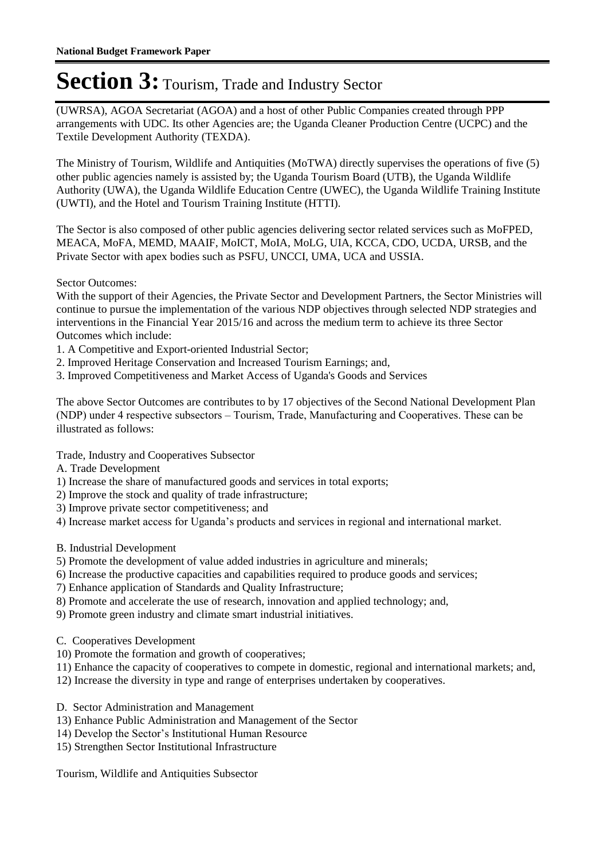(UWRSA), AGOA Secretariat (AGOA) and a host of other Public Companies created through PPP arrangements with UDC. Its other Agencies are; the Uganda Cleaner Production Centre (UCPC) and the Textile Development Authority (TEXDA).

The Ministry of Tourism, Wildlife and Antiquities (MoTWA) directly supervises the operations of five (5) other public agencies namely is assisted by; the Uganda Tourism Board (UTB), the Uganda Wildlife Authority (UWA), the Uganda Wildlife Education Centre (UWEC), the Uganda Wildlife Training Institute (UWTI), and the Hotel and Tourism Training Institute (HTTI).

The Sector is also composed of other public agencies delivering sector related services such as MoFPED, MEACA, MoFA, MEMD, MAAIF, MoICT, MoIA, MoLG, UIA, KCCA, CDO, UCDA, URSB, and the Private Sector with apex bodies such as PSFU, UNCCI, UMA, UCA and USSIA.

Sector Outcomes:

With the support of their Agencies, the Private Sector and Development Partners, the Sector Ministries will continue to pursue the implementation of the various NDP objectives through selected NDP strategies and interventions in the Financial Year 2015/16 and across the medium term to achieve its three Sector Outcomes which include:

- 1. A Competitive and Export-oriented Industrial Sector;
- 2. Improved Heritage Conservation and Increased Tourism Earnings; and,
- 3. Improved Competitiveness and Market Access of Uganda's Goods and Services

The above Sector Outcomes are contributes to by 17 objectives of the Second National Development Plan (NDP) under 4 respective subsectors – Tourism, Trade, Manufacturing and Cooperatives. These can be illustrated as follows:

Trade, Industry and Cooperatives Subsector

- A. Trade Development
- 1) Increase the share of manufactured goods and services in total exports;
- 2) Improve the stock and quality of trade infrastructure;
- 3) Improve private sector competitiveness; and
- 4) Increase market access for Uganda's products and services in regional and international market.
- B. Industrial Development
- 5) Promote the development of value added industries in agriculture and minerals;
- 6) Increase the productive capacities and capabilities required to produce goods and services;
- 7) Enhance application of Standards and Quality Infrastructure;
- 8) Promote and accelerate the use of research, innovation and applied technology; and,
- 9) Promote green industry and climate smart industrial initiatives.
- C. Cooperatives Development
- 10) Promote the formation and growth of cooperatives;
- 11) Enhance the capacity of cooperatives to compete in domestic, regional and international markets; and,
- 12) Increase the diversity in type and range of enterprises undertaken by cooperatives.
- D. Sector Administration and Management
- 13) Enhance Public Administration and Management of the Sector
- 14) Develop the Sector's Institutional Human Resource
- 15) Strengthen Sector Institutional Infrastructure

Tourism, Wildlife and Antiquities Subsector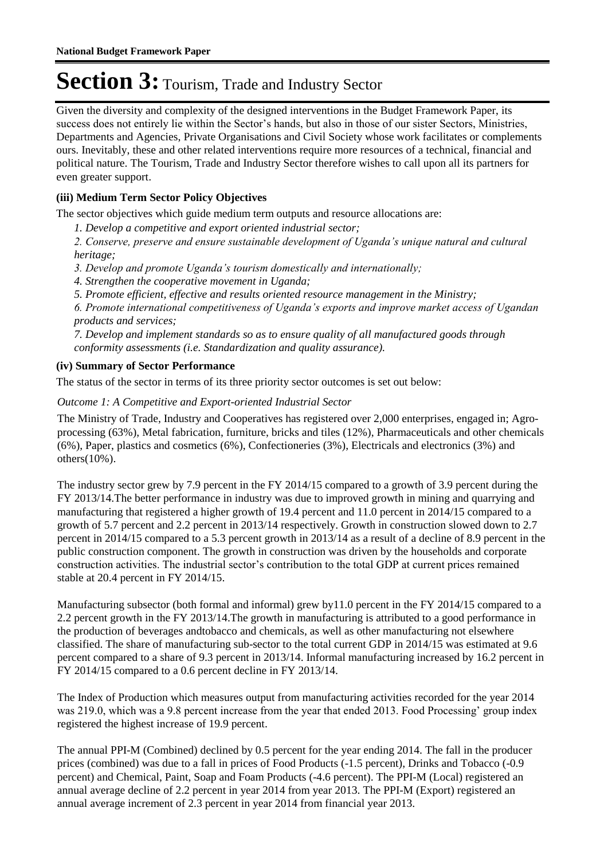Given the diversity and complexity of the designed interventions in the Budget Framework Paper, its success does not entirely lie within the Sector's hands, but also in those of our sister Sectors, Ministries, Departments and Agencies, Private Organisations and Civil Society whose work facilitates or complements ours. Inevitably, these and other related interventions require more resources of a technical, financial and political nature. The Tourism, Trade and Industry Sector therefore wishes to call upon all its partners for even greater support.

#### **(iii) Medium Term Sector Policy Objectives**

The sector objectives which guide medium term outputs and resource allocations are:

*1. Develop a competitive and export oriented industrial sector;* 

*2. Conserve, preserve and ensure sustainable development of Uganda's unique natural and cultural heritage;* 

- *3. Develop and promote Uganda's tourism domestically and internationally;*
- *4. Strengthen the cooperative movement in Uganda;*
- *5. Promote efficient, effective and results oriented resource management in the Ministry;*

*6. Promote international competitiveness of Uganda's exports and improve market access of Ugandan products and services;* 

*7. Develop and implement standards so as to ensure quality of all manufactured goods through conformity assessments (i.e. Standardization and quality assurance).*

#### **(iv) Summary of Sector Performance**

The status of the sector in terms of its three priority sector outcomes is set out below:

#### Outcome 1: A Competitive and Export-oriented Industrial Sector

The Ministry of Trade, Industry and Cooperatives has registered over 2,000 enterprises, engaged in; Agroprocessing (63%), Metal fabrication, furniture, bricks and tiles (12%), Pharmaceuticals and other chemicals (6%), Paper, plastics and cosmetics (6%), Confectioneries (3%), Electricals and electronics (3%) and others(10%).

The industry sector grew by 7.9 percent in the FY 2014/15 compared to a growth of 3.9 percent during the FY 2013/14.The better performance in industry was due to improved growth in mining and quarrying and manufacturing that registered a higher growth of 19.4 percent and 11.0 percent in 2014/15 compared to a growth of 5.7 percent and 2.2 percent in 2013/14 respectively. Growth in construction slowed down to 2.7 percent in 2014/15 compared to a 5.3 percent growth in 2013/14 as a result of a decline of 8.9 percent in the public construction component. The growth in construction was driven by the households and corporate construction activities. The industrial sector's contribution to the total GDP at current prices remained stable at 20.4 percent in FY 2014/15.

Manufacturing subsector (both formal and informal) grew by11.0 percent in the FY 2014/15 compared to a 2.2 percent growth in the FY 2013/14.The growth in manufacturing is attributed to a good performance in the production of beverages andtobacco and chemicals, as well as other manufacturing not elsewhere classified. The share of manufacturing sub-sector to the total current GDP in 2014/15 was estimated at 9.6 percent compared to a share of 9.3 percent in 2013/14. Informal manufacturing increased by 16.2 percent in FY 2014/15 compared to a 0.6 percent decline in FY 2013/14.

The Index of Production which measures output from manufacturing activities recorded for the year 2014 was 219.0, which was a 9.8 percent increase from the year that ended 2013. Food Processing' group index registered the highest increase of 19.9 percent.

The annual PPI-M (Combined) declined by 0.5 percent for the year ending 2014. The fall in the producer prices (combined) was due to a fall in prices of Food Products (-1.5 percent), Drinks and Tobacco (-0.9 percent) and Chemical, Paint, Soap and Foam Products (-4.6 percent). The PPI-M (Local) registered an annual average decline of 2.2 percent in year 2014 from year 2013. The PPI-M (Export) registered an annual average increment of 2.3 percent in year 2014 from financial year 2013.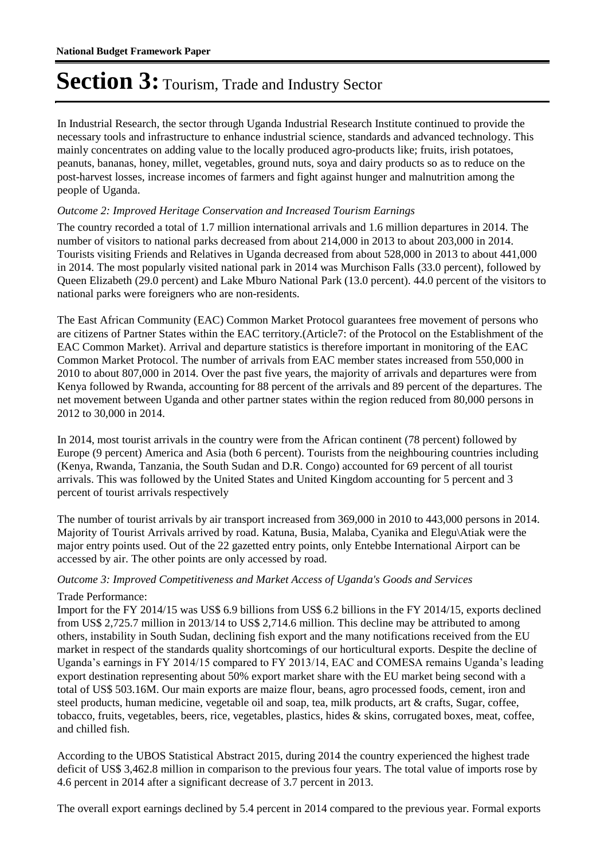In Industrial Research, the sector through Uganda Industrial Research Institute continued to provide the necessary tools and infrastructure to enhance industrial science, standards and advanced technology. This mainly concentrates on adding value to the locally produced agro-products like; fruits, irish potatoes, peanuts, bananas, honey, millet, vegetables, ground nuts, soya and dairy products so as to reduce on the post-harvest losses, increase incomes of farmers and fight against hunger and malnutrition among the people of Uganda.

#### Outcome 2: Improved Heritage Conservation and Increased Tourism Earnings

The country recorded a total of 1.7 million international arrivals and 1.6 million departures in 2014. The number of visitors to national parks decreased from about 214,000 in 2013 to about 203,000 in 2014. Tourists visiting Friends and Relatives in Uganda decreased from about 528,000 in 2013 to about 441,000 in 2014. The most popularly visited national park in 2014 was Murchison Falls (33.0 percent), followed by Queen Elizabeth (29.0 percent) and Lake Mburo National Park (13.0 percent). 44.0 percent of the visitors to national parks were foreigners who are non-residents.

The East African Community (EAC) Common Market Protocol guarantees free movement of persons who are citizens of Partner States within the EAC territory.(Article7: of the Protocol on the Establishment of the EAC Common Market). Arrival and departure statistics is therefore important in monitoring of the EAC Common Market Protocol. The number of arrivals from EAC member states increased from 550,000 in 2010 to about 807,000 in 2014. Over the past five years, the majority of arrivals and departures were from Kenya followed by Rwanda, accounting for 88 percent of the arrivals and 89 percent of the departures. The net movement between Uganda and other partner states within the region reduced from 80,000 persons in 2012 to 30,000 in 2014.

In 2014, most tourist arrivals in the country were from the African continent (78 percent) followed by Europe (9 percent) America and Asia (both 6 percent). Tourists from the neighbouring countries including (Kenya, Rwanda, Tanzania, the South Sudan and D.R. Congo) accounted for 69 percent of all tourist arrivals. This was followed by the United States and United Kingdom accounting for 5 percent and 3 percent of tourist arrivals respectively

The number of tourist arrivals by air transport increased from 369,000 in 2010 to 443,000 persons in 2014. Majority of Tourist Arrivals arrived by road. Katuna, Busia, Malaba, Cyanika and Elegu\Atiak were the major entry points used. Out of the 22 gazetted entry points, only Entebbe International Airport can be accessed by air. The other points are only accessed by road.

#### Outcome 3: Improved Competitiveness and Market Access of Uganda's Goods and Services

#### Trade Performance:

Import for the FY 2014/15 was US\$ 6.9 billions from US\$ 6.2 billions in the FY 2014/15, exports declined from US\$ 2,725.7 million in 2013/14 to US\$ 2,714.6 million. This decline may be attributed to among others, instability in South Sudan, declining fish export and the many notifications received from the EU market in respect of the standards quality shortcomings of our horticultural exports. Despite the decline of Uganda's earnings in FY 2014/15 compared to FY 2013/14, EAC and COMESA remains Uganda's leading export destination representing about 50% export market share with the EU market being second with a total of US\$ 503.16M. Our main exports are maize flour, beans, agro processed foods, cement, iron and steel products, human medicine, vegetable oil and soap, tea, milk products, art & crafts, Sugar, coffee, tobacco, fruits, vegetables, beers, rice, vegetables, plastics, hides & skins, corrugated boxes, meat, coffee, and chilled fish.

According to the UBOS Statistical Abstract 2015, during 2014 the country experienced the highest trade deficit of US\$ 3,462.8 million in comparison to the previous four years. The total value of imports rose by 4.6 percent in 2014 after a significant decrease of 3.7 percent in 2013.

The overall export earnings declined by 5.4 percent in 2014 compared to the previous year. Formal exports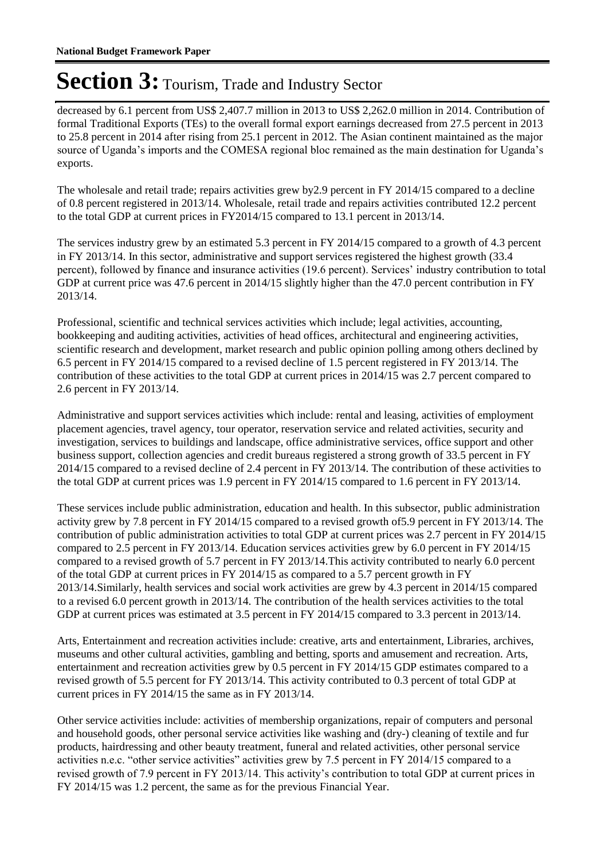decreased by 6.1 percent from US\$ 2,407.7 million in 2013 to US\$ 2,262.0 million in 2014. Contribution of formal Traditional Exports (TEs) to the overall formal export earnings decreased from 27.5 percent in 2013 to 25.8 percent in 2014 after rising from 25.1 percent in 2012. The Asian continent maintained as the major source of Uganda's imports and the COMESA regional bloc remained as the main destination for Uganda's exports.

The wholesale and retail trade; repairs activities grew by2.9 percent in FY 2014/15 compared to a decline of 0.8 percent registered in 2013/14. Wholesale, retail trade and repairs activities contributed 12.2 percent to the total GDP at current prices in FY2014/15 compared to 13.1 percent in 2013/14.

The services industry grew by an estimated 5.3 percent in FY 2014/15 compared to a growth of 4.3 percent in FY 2013/14. In this sector, administrative and support services registered the highest growth (33.4 percent), followed by finance and insurance activities (19.6 percent). Services' industry contribution to total GDP at current price was 47.6 percent in 2014/15 slightly higher than the 47.0 percent contribution in FY 2013/14.

Professional, scientific and technical services activities which include; legal activities, accounting, bookkeeping and auditing activities, activities of head offices, architectural and engineering activities, scientific research and development, market research and public opinion polling among others declined by 6.5 percent in FY 2014/15 compared to a revised decline of 1.5 percent registered in FY 2013/14. The contribution of these activities to the total GDP at current prices in 2014/15 was 2.7 percent compared to 2.6 percent in FY 2013/14.

Administrative and support services activities which include: rental and leasing, activities of employment placement agencies, travel agency, tour operator, reservation service and related activities, security and investigation, services to buildings and landscape, office administrative services, office support and other business support, collection agencies and credit bureaus registered a strong growth of 33.5 percent in FY 2014/15 compared to a revised decline of 2.4 percent in FY 2013/14. The contribution of these activities to the total GDP at current prices was 1.9 percent in FY 2014/15 compared to 1.6 percent in FY 2013/14.

These services include public administration, education and health. In this subsector, public administration activity grew by 7.8 percent in FY 2014/15 compared to a revised growth of5.9 percent in FY 2013/14. The contribution of public administration activities to total GDP at current prices was 2.7 percent in FY 2014/15 compared to 2.5 percent in FY 2013/14. Education services activities grew by 6.0 percent in FY 2014/15 compared to a revised growth of 5.7 percent in FY 2013/14.This activity contributed to nearly 6.0 percent of the total GDP at current prices in FY 2014/15 as compared to a 5.7 percent growth in FY 2013/14.Similarly, health services and social work activities are grew by 4.3 percent in 2014/15 compared to a revised 6.0 percent growth in 2013/14. The contribution of the health services activities to the total GDP at current prices was estimated at 3.5 percent in FY 2014/15 compared to 3.3 percent in 2013/14.

Arts, Entertainment and recreation activities include: creative, arts and entertainment, Libraries, archives, museums and other cultural activities, gambling and betting, sports and amusement and recreation. Arts, entertainment and recreation activities grew by 0.5 percent in FY 2014/15 GDP estimates compared to a revised growth of 5.5 percent for FY 2013/14. This activity contributed to 0.3 percent of total GDP at current prices in FY 2014/15 the same as in FY 2013/14.

Other service activities include: activities of membership organizations, repair of computers and personal and household goods, other personal service activities like washing and (dry-) cleaning of textile and fur products, hairdressing and other beauty treatment, funeral and related activities, other personal service activities n.e.c. "other service activities" activities grew by 7.5 percent in FY 2014/15 compared to a revised growth of 7.9 percent in FY 2013/14. This activity's contribution to total GDP at current prices in FY 2014/15 was 1.2 percent, the same as for the previous Financial Year.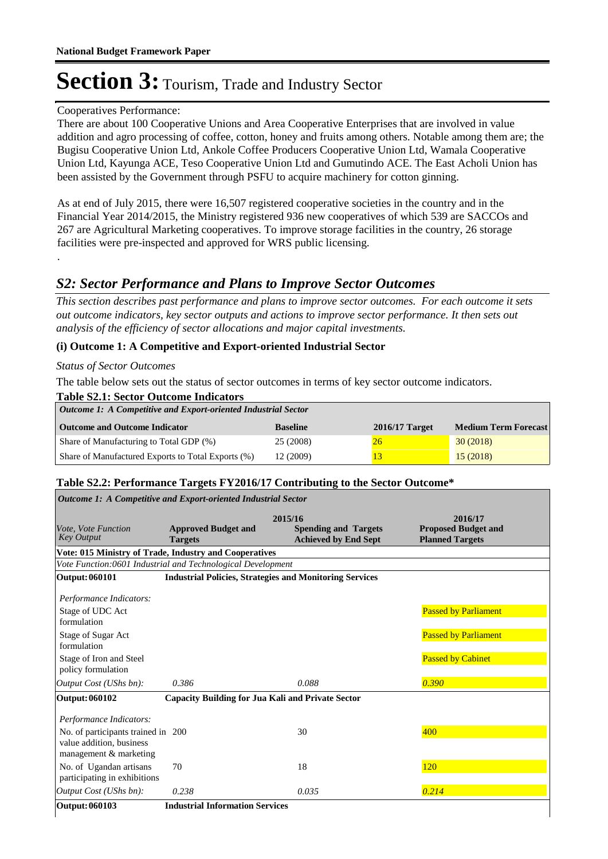#### Cooperatives Performance:

There are about 100 Cooperative Unions and Area Cooperative Enterprises that are involved in value addition and agro processing of coffee, cotton, honey and fruits among others. Notable among them are; the Bugisu Cooperative Union Ltd, Ankole Coffee Producers Cooperative Union Ltd, Wamala Cooperative Union Ltd, Kayunga ACE, Teso Cooperative Union Ltd and Gumutindo ACE. The East Acholi Union has been assisted by the Government through PSFU to acquire machinery for cotton ginning.

As at end of July 2015, there were 16,507 registered cooperative societies in the country and in the Financial Year 2014/2015, the Ministry registered 936 new cooperatives of which 539 are SACCOs and 267 are Agricultural Marketing cooperatives. To improve storage facilities in the country, 26 storage facilities were pre-inspected and approved for WRS public licensing.

#### *S2: Sector Performance and Plans to Improve Sector Outcomes*

*This section describes past performance and plans to improve sector outcomes. For each outcome it sets out outcome indicators, key sector outputs and actions to improve sector performance. It then sets out analysis of the efficiency of sector allocations and major capital investments.*

#### **(i) Outcome 1: A Competitive and Export-oriented Industrial Sector**

#### *Status of Sector Outcomes*

.

The table below sets out the status of sector outcomes in terms of key sector outcome indicators.

| <b>Table S2.1: Sector Outcome Indicators</b>                   |                 |                  |                             |  |  |  |
|----------------------------------------------------------------|-----------------|------------------|-----------------------------|--|--|--|
| Outcome 1: A Competitive and Export-oriented Industrial Sector |                 |                  |                             |  |  |  |
| <b>Outcome and Outcome Indicator</b>                           | <b>Baseline</b> | $2016/17$ Target | <b>Medium Term Forecast</b> |  |  |  |
| Share of Manufacturing to Total GDP (%)                        | 25 (2008)       | 26               | 30(2018)                    |  |  |  |
| Share of Manufactured Exports to Total Exports (%)             | 12 (2009)       |                  | 15(2018)                    |  |  |  |

#### **Table S2.2: Performance Targets FY2016/17 Contributing to the Sector Outcome\***

| <b>Outcome 1: A Competitive and Export-oriented Industrial Sector</b>                    |                                                          |                                                                       |                                                                 |  |  |  |  |
|------------------------------------------------------------------------------------------|----------------------------------------------------------|-----------------------------------------------------------------------|-----------------------------------------------------------------|--|--|--|--|
| Vote, Vote Function<br><b>Key Output</b>                                                 | <b>Approved Budget and</b><br><b>Targets</b>             | 2015/16<br><b>Spending and Targets</b><br><b>Achieved by End Sept</b> | 2016/17<br><b>Proposed Budget and</b><br><b>Planned Targets</b> |  |  |  |  |
| Vote: 015 Ministry of Trade, Industry and Cooperatives                                   |                                                          |                                                                       |                                                                 |  |  |  |  |
| Vote Function:0601 Industrial and Technological Development                              |                                                          |                                                                       |                                                                 |  |  |  |  |
| Output: 060101                                                                           |                                                          | <b>Industrial Policies, Strategies and Monitoring Services</b>        |                                                                 |  |  |  |  |
| Performance Indicators:                                                                  |                                                          |                                                                       |                                                                 |  |  |  |  |
| Stage of UDC Act<br>formulation                                                          |                                                          |                                                                       | <b>Passed by Parliament</b>                                     |  |  |  |  |
| Stage of Sugar Act<br>formulation                                                        |                                                          |                                                                       | <b>Passed by Parliament</b>                                     |  |  |  |  |
| Stage of Iron and Steel<br>policy formulation                                            |                                                          |                                                                       | <b>Passed by Cabinet</b>                                        |  |  |  |  |
| Output Cost (UShs bn):                                                                   | 0.386                                                    | 0.088                                                                 | 0.390                                                           |  |  |  |  |
| Output: 060102                                                                           | <b>Capacity Building for Jua Kali and Private Sector</b> |                                                                       |                                                                 |  |  |  |  |
| Performance Indicators:                                                                  |                                                          |                                                                       |                                                                 |  |  |  |  |
| No. of participants trained in 200<br>value addition, business<br>management & marketing |                                                          | 30                                                                    | 400                                                             |  |  |  |  |
| No. of Ugandan artisans<br>participating in exhibitions                                  | 70                                                       | 18                                                                    | 120                                                             |  |  |  |  |
| Output Cost (UShs bn):                                                                   | 0.238                                                    | 0.035                                                                 | 0.214                                                           |  |  |  |  |
| Output: 060103                                                                           | <b>Industrial Information Services</b>                   |                                                                       |                                                                 |  |  |  |  |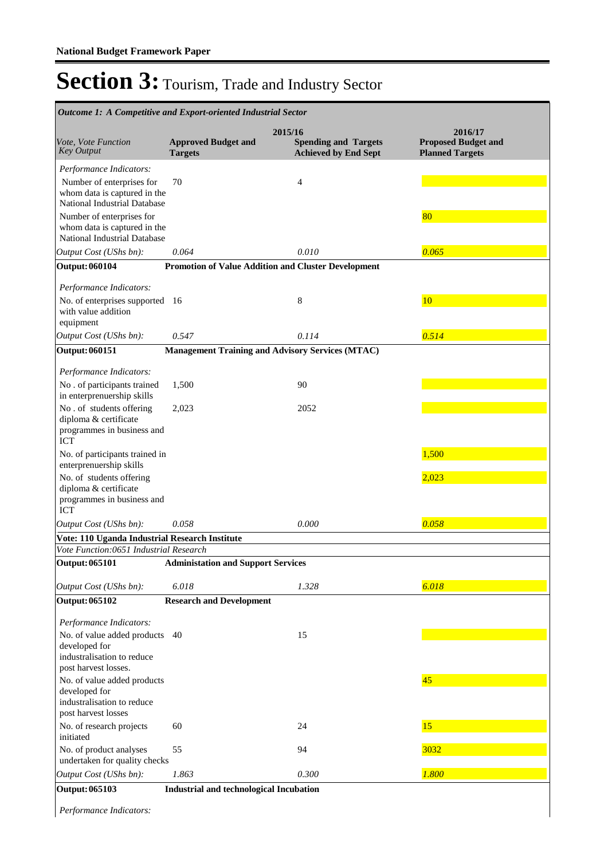| Outcome 1: A Competitive and Export-oriented Industrial Sector                                                       |                                                |                                                                       |                                                                 |
|----------------------------------------------------------------------------------------------------------------------|------------------------------------------------|-----------------------------------------------------------------------|-----------------------------------------------------------------|
| Vote, Vote Function<br><b>Key Output</b>                                                                             | <b>Approved Budget and</b><br><b>Targets</b>   | 2015/16<br><b>Spending and Targets</b><br><b>Achieved by End Sept</b> | 2016/17<br><b>Proposed Budget and</b><br><b>Planned Targets</b> |
| Performance Indicators:<br>Number of enterprises for<br>whom data is captured in the<br>National Industrial Database | 70                                             | $\overline{4}$                                                        |                                                                 |
| Number of enterprises for<br>whom data is captured in the<br>National Industrial Database                            |                                                |                                                                       | 80                                                              |
| Output Cost (UShs bn):                                                                                               | 0.064                                          | 0.010                                                                 | 0.065                                                           |
| <b>Output: 060104</b>                                                                                                |                                                | <b>Promotion of Value Addition and Cluster Development</b>            |                                                                 |
| Performance Indicators:<br>No. of enterprises supported 16<br>with value addition<br>equipment                       |                                                | 8                                                                     | 10                                                              |
| Output Cost (UShs bn):                                                                                               | 0.547                                          | 0.114                                                                 | 0.514                                                           |
| <b>Output: 060151</b>                                                                                                |                                                | <b>Management Training and Advisory Services (MTAC)</b>               |                                                                 |
| Performance Indicators:<br>No. of participants trained<br>in enterprenuership skills                                 | 1,500                                          | 90                                                                    |                                                                 |
| No. of students offering<br>diploma & certificate<br>programmes in business and<br><b>ICT</b>                        | 2,023                                          | 2052                                                                  |                                                                 |
| No. of participants trained in<br>enterprenuership skills                                                            |                                                |                                                                       | 1,500                                                           |
| No. of students offering<br>diploma & certificate<br>programmes in business and<br><b>ICT</b>                        |                                                |                                                                       | 2,023                                                           |
| Output Cost (UShs bn):                                                                                               | 0.058                                          | 0.000                                                                 | 0.058                                                           |
| Vote: 110 Uganda Industrial Research Institute                                                                       |                                                |                                                                       |                                                                 |
| Vote Function:0651 Industrial Research                                                                               | $\mathbf{A}$<br>$\ddot{\phantom{0}}$           |                                                                       |                                                                 |
| <b>Output: 065101</b>                                                                                                | <b>Administation and Support Services</b>      |                                                                       |                                                                 |
| Output Cost (UShs bn):                                                                                               | 6.018                                          | 1.328                                                                 | 6.018                                                           |
| <b>Output: 065102</b>                                                                                                | <b>Research and Development</b>                |                                                                       |                                                                 |
| Performance Indicators:                                                                                              |                                                |                                                                       |                                                                 |
| No. of value added products<br>developed for<br>industralisation to reduce<br>post harvest losses.                   | 40                                             | 15                                                                    |                                                                 |
| No. of value added products<br>developed for<br>industralisation to reduce<br>post harvest losses                    |                                                |                                                                       | 45                                                              |
| No. of research projects<br>initiated                                                                                | 60                                             | 24                                                                    | 15                                                              |
| No. of product analyses<br>undertaken for quality checks                                                             | 55                                             | 94                                                                    | 3032                                                            |
| Output Cost (UShs bn):                                                                                               | 1.863                                          | 0.300                                                                 | 1.800                                                           |
| <b>Output: 065103</b>                                                                                                | <b>Industrial and technological Incubation</b> |                                                                       |                                                                 |

*Performance Indicators:*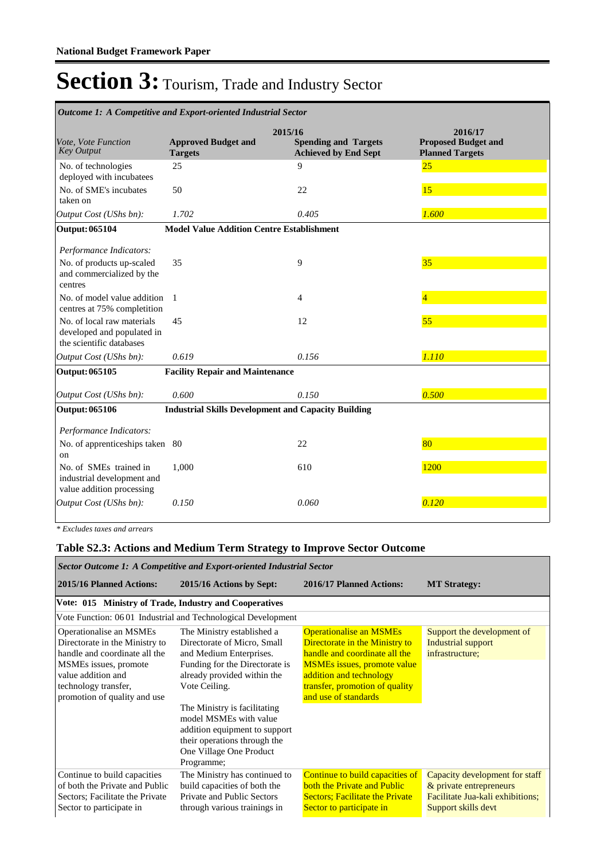| Outcome 1: A Competitive and Export-oriented Industrial Sector                       |                                                            |                                                                       |                                                                 |  |  |
|--------------------------------------------------------------------------------------|------------------------------------------------------------|-----------------------------------------------------------------------|-----------------------------------------------------------------|--|--|
| Vote, Vote Function<br><b>Key Output</b>                                             | <b>Approved Budget and</b><br><b>Targets</b>               | 2015/16<br><b>Spending and Targets</b><br><b>Achieved by End Sept</b> | 2016/17<br><b>Proposed Budget and</b><br><b>Planned Targets</b> |  |  |
| No. of technologies<br>deployed with incubatees                                      | 25                                                         | 9                                                                     | 25                                                              |  |  |
| No. of SME's incubates<br>taken on                                                   | 50                                                         | 22                                                                    | 15                                                              |  |  |
| Output Cost (UShs bn):                                                               | 1.702                                                      | 0.405                                                                 | 1.600                                                           |  |  |
| <b>Output: 065104</b>                                                                | <b>Model Value Addition Centre Establishment</b>           |                                                                       |                                                                 |  |  |
| Performance Indicators:                                                              |                                                            |                                                                       |                                                                 |  |  |
| No. of products up-scaled<br>and commercialized by the<br>centres                    | 35                                                         | 9                                                                     | 35                                                              |  |  |
| No. of model value addition<br>centres at 75% completition                           | $\overline{1}$                                             | $\overline{4}$                                                        |                                                                 |  |  |
| No. of local raw materials<br>developed and populated in<br>the scientific databases | 45                                                         | 12                                                                    | 55                                                              |  |  |
| Output Cost (UShs bn):                                                               | 0.619                                                      | 0.156                                                                 | 1.110                                                           |  |  |
| Output: 065105                                                                       | <b>Facility Repair and Maintenance</b>                     |                                                                       |                                                                 |  |  |
| Output Cost (UShs bn):                                                               | 0.600                                                      | 0.150                                                                 | 0.500                                                           |  |  |
| Output: 065106                                                                       | <b>Industrial Skills Development and Capacity Building</b> |                                                                       |                                                                 |  |  |
| Performance Indicators:                                                              |                                                            |                                                                       |                                                                 |  |  |
| No. of apprenticeships taken 80<br>on                                                |                                                            | 22                                                                    | 80                                                              |  |  |
| No. of SMEs trained in<br>industrial development and<br>value addition processing    | 1,000                                                      | 610                                                                   | 1200                                                            |  |  |
| Output Cost (UShs bn):                                                               | 0.150                                                      | 0.060                                                                 | 0.120                                                           |  |  |

*\* Excludes taxes and arrears*

### **Table S2.3: Actions and Medium Term Strategy to Improve Sector Outcome**

| Sector Outcome 1: A Competitive and Export-oriented Industrial Sector                                                                                                                             |                                                                                                                                                                                                                                                                                                                                            |                                                                                                                                                                                                                              |                                                                                                                      |  |  |  |  |
|---------------------------------------------------------------------------------------------------------------------------------------------------------------------------------------------------|--------------------------------------------------------------------------------------------------------------------------------------------------------------------------------------------------------------------------------------------------------------------------------------------------------------------------------------------|------------------------------------------------------------------------------------------------------------------------------------------------------------------------------------------------------------------------------|----------------------------------------------------------------------------------------------------------------------|--|--|--|--|
| 2015/16 Planned Actions:                                                                                                                                                                          | 2015/16 Actions by Sept:                                                                                                                                                                                                                                                                                                                   | 2016/17 Planned Actions:                                                                                                                                                                                                     | <b>MT Strategy:</b>                                                                                                  |  |  |  |  |
| Vote: 015 Ministry of Trade, Industry and Cooperatives                                                                                                                                            |                                                                                                                                                                                                                                                                                                                                            |                                                                                                                                                                                                                              |                                                                                                                      |  |  |  |  |
|                                                                                                                                                                                                   | Vote Function: 0601 Industrial and Technological Development                                                                                                                                                                                                                                                                               |                                                                                                                                                                                                                              |                                                                                                                      |  |  |  |  |
| Operationalise an MSMEs<br>Directorate in the Ministry to<br>handle and coordinate all the<br>MSMEs issues, promote<br>value addition and<br>technology transfer,<br>promotion of quality and use | The Ministry established a<br>Directorate of Micro, Small<br>and Medium Enterprises.<br>Funding for the Directorate is<br>already provided within the<br>Vote Ceiling.<br>The Ministry is facilitating<br>model MSMEs with value<br>addition equipment to support<br>their operations through the<br>One Village One Product<br>Programme; | <b>Operationalise an MSMEs</b><br>Directorate in the Ministry to<br>handle and coordinate all the<br><b>MSMEs</b> issues, promote value<br>addition and technology<br>transfer, promotion of quality<br>and use of standards | Support the development of<br>Industrial support<br>infrastructure:                                                  |  |  |  |  |
| Continue to build capacities<br>of both the Private and Public<br>Sectors; Facilitate the Private<br>Sector to participate in                                                                     | The Ministry has continued to<br>build capacities of both the<br>Private and Public Sectors<br>through various trainings in                                                                                                                                                                                                                | Continue to build capacities of<br>both the Private and Public<br><b>Sectors</b> ; Facilitate the Private<br>Sector to participate in                                                                                        | Capacity development for staff<br>& private entrepreneurs<br>Facilitate Jua-kali exhibitions;<br>Support skills devt |  |  |  |  |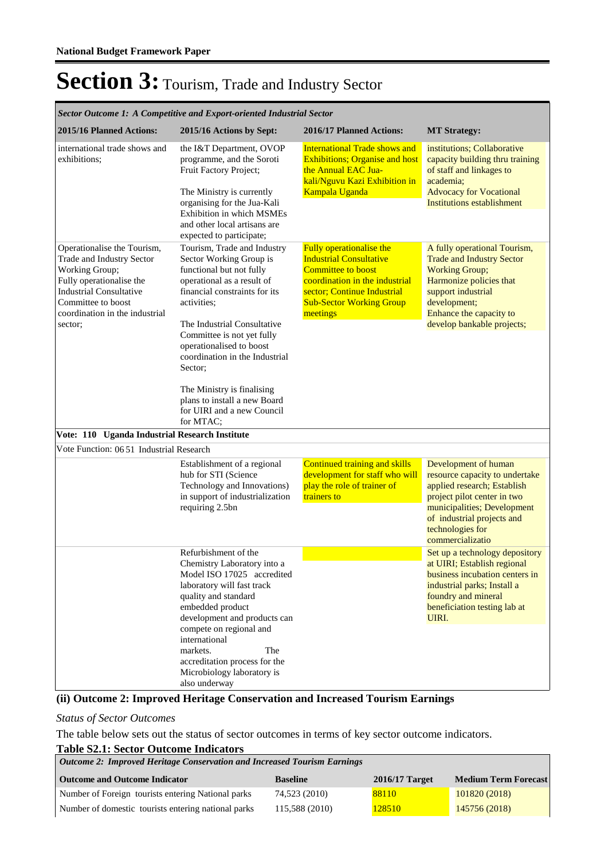| Sector Outcome 1: A Competitive and Export-oriented Industrial Sector                                                                                                                                       |                                                                                                                                                                                                                                                                                                                                                                                                                 |                                                                                                                                                                                                         |                                                                                                                                                                                                                           |  |  |  |
|-------------------------------------------------------------------------------------------------------------------------------------------------------------------------------------------------------------|-----------------------------------------------------------------------------------------------------------------------------------------------------------------------------------------------------------------------------------------------------------------------------------------------------------------------------------------------------------------------------------------------------------------|---------------------------------------------------------------------------------------------------------------------------------------------------------------------------------------------------------|---------------------------------------------------------------------------------------------------------------------------------------------------------------------------------------------------------------------------|--|--|--|
| 2015/16 Planned Actions:                                                                                                                                                                                    | 2015/16 Actions by Sept:                                                                                                                                                                                                                                                                                                                                                                                        | 2016/17 Planned Actions:                                                                                                                                                                                | <b>MT Strategy:</b>                                                                                                                                                                                                       |  |  |  |
| international trade shows and<br>exhibitions:                                                                                                                                                               | the I&T Department, OVOP<br>programme, and the Soroti<br>Fruit Factory Project;<br>The Ministry is currently<br>organising for the Jua-Kali<br><b>Exhibition in which MSMEs</b><br>and other local artisans are<br>expected to participate;                                                                                                                                                                     | <b>International Trade shows and</b><br><b>Exhibitions; Organise and host</b><br>the Annual EAC Jua-<br>kali/Nguvu Kazi Exhibition in<br>Kampala Uganda                                                 | institutions; Collaborative<br>capacity building thru training<br>of staff and linkages to<br>academia;<br><b>Advocacy for Vocational</b><br><b>Institutions establishment</b>                                            |  |  |  |
| Operationalise the Tourism,<br>Trade and Industry Sector<br>Working Group;<br>Fully operationalise the<br><b>Industrial Consultative</b><br>Committee to boost<br>coordination in the industrial<br>sector; | Tourism, Trade and Industry<br>Sector Working Group is<br>functional but not fully<br>operational as a result of<br>financial constraints for its<br>activities;<br>The Industrial Consultative<br>Committee is not yet fully<br>operationalised to boost<br>coordination in the Industrial<br>Sector;<br>The Ministry is finalising<br>plans to install a new Board<br>for UIRI and a new Council<br>for MTAC; | Fully operationalise the<br><b>Industrial Consultative</b><br><b>Committee to boost</b><br>coordination in the industrial<br>sector; Continue Industrial<br><b>Sub-Sector Working Group</b><br>meetings | A fully operational Tourism,<br><b>Trade and Industry Sector</b><br><b>Working Group;</b><br>Harmonize policies that<br>support industrial<br>development;<br>Enhance the capacity to<br>develop bankable projects;       |  |  |  |
| Vote: 110 Uganda Industrial Research Institute                                                                                                                                                              |                                                                                                                                                                                                                                                                                                                                                                                                                 |                                                                                                                                                                                                         |                                                                                                                                                                                                                           |  |  |  |
| Vote Function: 0651 Industrial Research                                                                                                                                                                     |                                                                                                                                                                                                                                                                                                                                                                                                                 |                                                                                                                                                                                                         |                                                                                                                                                                                                                           |  |  |  |
|                                                                                                                                                                                                             | Establishment of a regional<br>hub for STI (Science<br>Technology and Innovations)<br>in support of industrialization<br>requiring 2.5bn                                                                                                                                                                                                                                                                        | Continued training and skills<br>development for staff who will<br>play the role of trainer of<br>trainers to                                                                                           | Development of human<br>resource capacity to undertake<br>applied research; Establish<br>project pilot center in two<br>municipalities; Development<br>of industrial projects and<br>technologies for<br>commercializatio |  |  |  |
|                                                                                                                                                                                                             | Refurbishment of the<br>Chemistry Laboratory into a<br>Model ISO 17025 accredited<br>laboratory will fast track<br>quality and standard<br>embedded product<br>development and products can<br>compete on regional and                                                                                                                                                                                          |                                                                                                                                                                                                         | Set up a technology depository<br>at UIRI; Establish regional<br>business incubation centers in<br>industrial parks; Install a<br>foundry and mineral<br>beneficiation testing lab at<br>UIRI.                            |  |  |  |
|                                                                                                                                                                                                             | international<br>markets.<br>The<br>accreditation process for the<br>Microbiology laboratory is<br>also underway                                                                                                                                                                                                                                                                                                |                                                                                                                                                                                                         |                                                                                                                                                                                                                           |  |  |  |

#### **(ii) Outcome 2: Improved Heritage Conservation and Increased Tourism Earnings**

#### *Status of Sector Outcomes*

The table below sets out the status of sector outcomes in terms of key sector outcome indicators.

#### **Table S2.1: Sector Outcome Indicators**

| Outcome 2: Improved Heritage Conservation and Increased Tourism Earnings |                 |                  |                             |  |  |  |
|--------------------------------------------------------------------------|-----------------|------------------|-----------------------------|--|--|--|
| <b>Outcome and Outcome Indicator</b>                                     | <b>Baseline</b> | $2016/17$ Target | <b>Medium Term Forecast</b> |  |  |  |
| Number of Foreign tourists entering National parks                       | 74.523 (2010)   | 88110            | 101820 (2018)               |  |  |  |
| Number of domestic tourists entering national parks                      | 115,588 (2010)  | 128510           | 145756 (2018)               |  |  |  |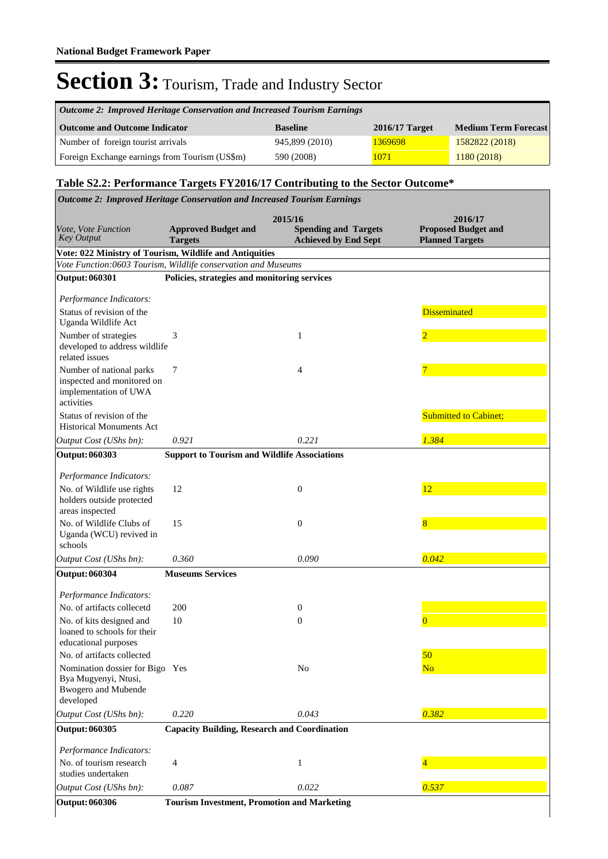| Outcome 2: Improved Heritage Conservation and Increased Tourism Earnings |                 |                  |                             |  |  |  |
|--------------------------------------------------------------------------|-----------------|------------------|-----------------------------|--|--|--|
| <b>Outcome and Outcome Indicator</b>                                     | <b>Baseline</b> | $2016/17$ Target | <b>Medium Term Forecast</b> |  |  |  |
| Number of foreign tourist arrivals                                       | 945,899 (2010)  | 1369698          | 1582822 (2018)              |  |  |  |
| Foreign Exchange earnings from Tourism (US\$m)                           | 590 (2008)      | 1071             | 1180 (2018)                 |  |  |  |

٦

#### **Table S2.2: Performance Targets FY2016/17 Contributing to the Sector Outcome\***

|                                                                                                    | <b>Outcome 2: Improved Heritage Conservation and Increased Tourism Earnings</b>                                          |                                                                       |                                                                 |
|----------------------------------------------------------------------------------------------------|--------------------------------------------------------------------------------------------------------------------------|-----------------------------------------------------------------------|-----------------------------------------------------------------|
| Vote, Vote Function<br><b>Key Output</b>                                                           | <b>Approved Budget and</b><br><b>Targets</b>                                                                             | 2015/16<br><b>Spending and Targets</b><br><b>Achieved by End Sept</b> | 2016/17<br><b>Proposed Budget and</b><br><b>Planned Targets</b> |
|                                                                                                    | Vote: 022 Ministry of Tourism, Wildlife and Antiquities<br>Vote Function:0603 Tourism, Wildlife conservation and Museums |                                                                       |                                                                 |
| <b>Output: 060301</b>                                                                              | Policies, strategies and monitoring services                                                                             |                                                                       |                                                                 |
|                                                                                                    |                                                                                                                          |                                                                       |                                                                 |
| Performance Indicators:                                                                            |                                                                                                                          |                                                                       |                                                                 |
| Status of revision of the<br>Uganda Wildlife Act                                                   |                                                                                                                          |                                                                       | <b>Disseminated</b>                                             |
| Number of strategies<br>developed to address wildlife<br>related issues                            | 3                                                                                                                        | 1                                                                     | $\overline{2}$                                                  |
| Number of national parks<br>inspected and monitored on<br>implementation of UWA<br>activities      | 7                                                                                                                        | 4                                                                     | 7                                                               |
| Status of revision of the<br><b>Historical Monuments Act</b>                                       |                                                                                                                          |                                                                       | <b>Submitted to Cabinet;</b>                                    |
| Output Cost (UShs bn):                                                                             | 0.921                                                                                                                    | 0.221                                                                 | 1.384                                                           |
| Output: 060303                                                                                     | <b>Support to Tourism and Wildlife Associations</b>                                                                      |                                                                       |                                                                 |
| Performance Indicators:                                                                            |                                                                                                                          |                                                                       |                                                                 |
| No. of Wildlife use rights<br>holders outside protected<br>areas inspected                         | 12                                                                                                                       | $\boldsymbol{0}$                                                      | 12                                                              |
| No. of Wildlife Clubs of<br>Uganda (WCU) revived in<br>schools                                     | 15                                                                                                                       | $\boldsymbol{0}$                                                      | 8                                                               |
| Output Cost (UShs bn):                                                                             | 0.360                                                                                                                    | 0.090                                                                 | 0.042                                                           |
| <b>Output: 060304</b>                                                                              | <b>Museums Services</b>                                                                                                  |                                                                       |                                                                 |
| Performance Indicators:                                                                            |                                                                                                                          |                                                                       |                                                                 |
| No. of artifacts collecetd                                                                         | 200                                                                                                                      | 0                                                                     |                                                                 |
| No. of kits designed and<br>loaned to schools for their<br>educational purposes                    | 10                                                                                                                       | $\boldsymbol{0}$                                                      | $\Omega$                                                        |
| No. of artifacts collected                                                                         |                                                                                                                          |                                                                       | 50                                                              |
| Nomination dossier for Bigo Yes<br>Bya Mugyenyi, Ntusi,<br><b>Bwogero</b> and Mubende<br>developed |                                                                                                                          | N <sub>o</sub>                                                        | N <sub>o</sub>                                                  |
| Output Cost (UShs bn):                                                                             | 0.220                                                                                                                    | 0.043                                                                 | 0.382                                                           |
| Output: 060305                                                                                     | <b>Capacity Building, Research and Coordination</b>                                                                      |                                                                       |                                                                 |
| Performance Indicators:                                                                            |                                                                                                                          |                                                                       |                                                                 |
| No. of tourism research<br>studies undertaken                                                      | $\overline{4}$                                                                                                           | $\mathbf{1}$                                                          |                                                                 |
| Output Cost (UShs bn):                                                                             | 0.087                                                                                                                    | 0.022                                                                 | 0.537                                                           |
| <b>Output: 060306</b>                                                                              | <b>Tourism Investment, Promotion and Marketing</b>                                                                       |                                                                       |                                                                 |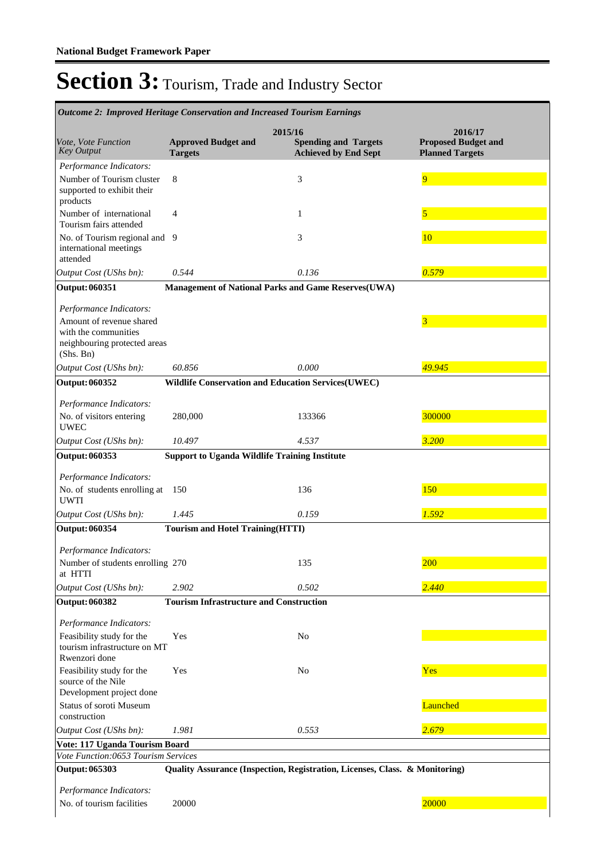| <b>Outcome 2: Improved Heritage Conservation and Increased Tourism Earnings</b>                |                                                      |                                                                             |                                                                 |
|------------------------------------------------------------------------------------------------|------------------------------------------------------|-----------------------------------------------------------------------------|-----------------------------------------------------------------|
| Vote, Vote Function<br><b>Key Output</b>                                                       | <b>Approved Budget and</b><br><b>Targets</b>         | 2015/16<br><b>Spending and Targets</b><br><b>Achieved by End Sept</b>       | 2016/17<br><b>Proposed Budget and</b><br><b>Planned Targets</b> |
| Performance Indicators:<br>Number of Tourism cluster<br>supported to exhibit their<br>products | 8                                                    | 3                                                                           | 9                                                               |
| Number of international<br>Tourism fairs attended                                              | 4                                                    | 1                                                                           | 5                                                               |
| No. of Tourism regional and 9<br>international meetings<br>attended                            |                                                      | 3                                                                           | 10                                                              |
| Output Cost (UShs bn):                                                                         | 0.544                                                | 0.136                                                                       | 0.579                                                           |
| <b>Output: 060351</b>                                                                          |                                                      | Management of National Parks and Game Reserves(UWA)                         |                                                                 |
| Performance Indicators:                                                                        |                                                      |                                                                             |                                                                 |
| Amount of revenue shared<br>with the communities<br>neighbouring protected areas<br>(Shs. Bn)  |                                                      |                                                                             | 3                                                               |
| Output Cost (UShs bn):                                                                         | 60.856                                               | 0.000                                                                       | 49.945                                                          |
| <b>Output: 060352</b>                                                                          |                                                      | <b>Wildlife Conservation and Education Services (UWEC)</b>                  |                                                                 |
| Performance Indicators:<br>No. of visitors entering<br><b>UWEC</b>                             | 280,000                                              | 133366                                                                      | 300000                                                          |
| Output Cost (UShs bn):                                                                         | 10.497                                               | 4.537                                                                       | 3.200                                                           |
| Output: 060353                                                                                 | <b>Support to Uganda Wildlife Training Institute</b> |                                                                             |                                                                 |
|                                                                                                |                                                      |                                                                             |                                                                 |
| Performance Indicators:<br>No. of students enrolling at<br><b>UWTI</b>                         | 150                                                  | 136                                                                         | 150                                                             |
| Output Cost (UShs bn):                                                                         | 1.445                                                | 0.159                                                                       | 1.592                                                           |
| <b>Output: 060354</b>                                                                          | <b>Tourism and Hotel Training (HTTI)</b>             |                                                                             |                                                                 |
|                                                                                                |                                                      |                                                                             |                                                                 |
| Performance Indicators:<br>Number of students enrolling 270<br>at HTTI                         |                                                      | 135                                                                         | 200                                                             |
| Output Cost (UShs bn):                                                                         | 2.902                                                | 0.502                                                                       | 2.440                                                           |
| <b>Output: 060382</b>                                                                          | <b>Tourism Infrastructure and Construction</b>       |                                                                             |                                                                 |
|                                                                                                |                                                      |                                                                             |                                                                 |
| Performance Indicators:                                                                        |                                                      |                                                                             |                                                                 |
| Feasibility study for the<br>tourism infrastructure on MT<br>Rwenzori done                     | Yes                                                  | No                                                                          |                                                                 |
| Feasibility study for the<br>source of the Nile                                                | Yes                                                  | N <sub>o</sub>                                                              | Yes                                                             |
| Development project done                                                                       |                                                      |                                                                             |                                                                 |
| Status of soroti Museum<br>construction                                                        |                                                      |                                                                             | Launched                                                        |
| Output Cost (UShs bn):                                                                         | 1.981                                                | 0.553                                                                       | 2.679                                                           |
| Vote: 117 Uganda Tourism Board                                                                 |                                                      |                                                                             |                                                                 |
| Vote Function:0653 Tourism Services<br>Output: 065303                                          |                                                      | Quality Assurance (Inspection, Registration, Licenses, Class. & Monitoring) |                                                                 |
|                                                                                                |                                                      |                                                                             |                                                                 |
| Performance Indicators:                                                                        |                                                      |                                                                             |                                                                 |
| No. of tourism facilities                                                                      | 20000                                                |                                                                             | 20000                                                           |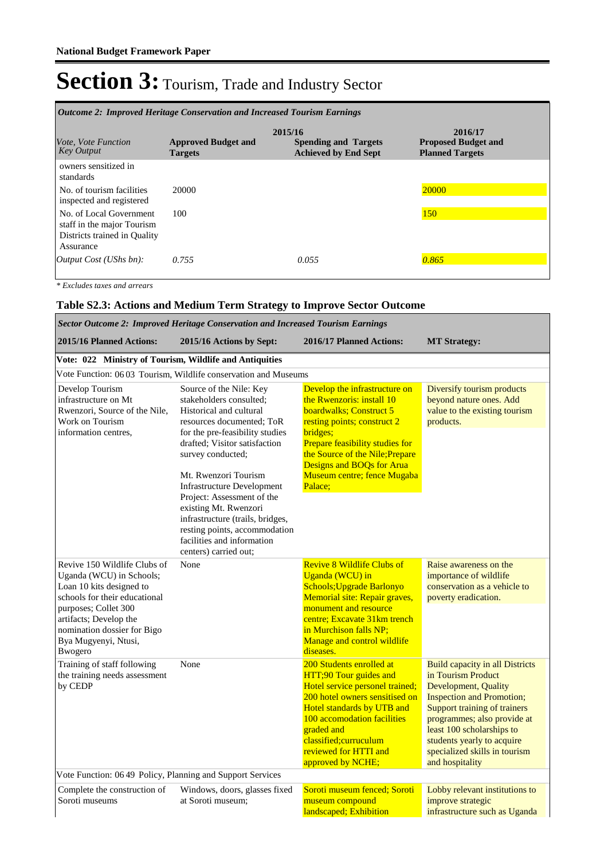| <i><b>Outcome 2: Improved Heritage Conservation and Increased Tourism Earnings</b></i>             |                                              |                                                                       |                                                                 |  |  |
|----------------------------------------------------------------------------------------------------|----------------------------------------------|-----------------------------------------------------------------------|-----------------------------------------------------------------|--|--|
| <i>Vote, Vote Function</i><br><b>Key Output</b>                                                    | <b>Approved Budget and</b><br><b>Targets</b> | 2015/16<br><b>Spending and Targets</b><br><b>Achieved by End Sept</b> | 2016/17<br><b>Proposed Budget and</b><br><b>Planned Targets</b> |  |  |
| owners sensitized in<br>standards                                                                  |                                              |                                                                       |                                                                 |  |  |
| No. of tourism facilities<br>inspected and registered                                              | 20000                                        |                                                                       | 20000                                                           |  |  |
| No. of Local Government<br>staff in the major Tourism<br>Districts trained in Quality<br>Assurance | 100                                          |                                                                       | <b>150</b>                                                      |  |  |
| Output $Cost (UShs bn):$                                                                           | 0.755                                        | 0.055                                                                 | 0.865                                                           |  |  |

*\* Excludes taxes and arrears*

#### **Table S2.3: Actions and Medium Term Strategy to Improve Sector Outcome**

| Sector Outcome 2: Improved Heritage Conservation and Increased Tourism Earnings                                                                                                                                                                   |                                                                                                                                                                                                                                              |                                                                                                                                                                                                                                                                            |                                                                                                                                                                                                                                                                                                                |  |  |  |  |  |
|---------------------------------------------------------------------------------------------------------------------------------------------------------------------------------------------------------------------------------------------------|----------------------------------------------------------------------------------------------------------------------------------------------------------------------------------------------------------------------------------------------|----------------------------------------------------------------------------------------------------------------------------------------------------------------------------------------------------------------------------------------------------------------------------|----------------------------------------------------------------------------------------------------------------------------------------------------------------------------------------------------------------------------------------------------------------------------------------------------------------|--|--|--|--|--|
| 2015/16 Planned Actions:                                                                                                                                                                                                                          | 2015/16 Actions by Sept:                                                                                                                                                                                                                     | 2016/17 Planned Actions:                                                                                                                                                                                                                                                   | <b>MT Strategy:</b>                                                                                                                                                                                                                                                                                            |  |  |  |  |  |
| Vote: 022 Ministry of Tourism, Wildlife and Antiquities                                                                                                                                                                                           |                                                                                                                                                                                                                                              |                                                                                                                                                                                                                                                                            |                                                                                                                                                                                                                                                                                                                |  |  |  |  |  |
|                                                                                                                                                                                                                                                   | Vote Function: 06 03 Tourism, Wildlife conservation and Museums                                                                                                                                                                              |                                                                                                                                                                                                                                                                            |                                                                                                                                                                                                                                                                                                                |  |  |  |  |  |
| Develop Tourism<br>infrastructure on Mt<br>Rwenzori, Source of the Nile,<br>Work on Tourism<br>information centres.                                                                                                                               | Source of the Nile: Key<br>stakeholders consulted:<br>Historical and cultural<br>resources documented: ToR<br>for the pre-feasibility studies<br>drafted; Visitor satisfaction<br>survey conducted;                                          | Develop the infrastructure on<br>the Rwenzoris: install 10<br>boardwalks; Construct 5<br>resting points; construct 2<br>bridges;<br>Prepare feasibility studies for<br>the Source of the Nile; Prepare<br>Designs and BOQs for Arua                                        | Diversify tourism products<br>beyond nature ones. Add<br>value to the existing tourism<br>products.                                                                                                                                                                                                            |  |  |  |  |  |
|                                                                                                                                                                                                                                                   | Mt. Rwenzori Tourism<br><b>Infrastructure Development</b><br>Project: Assessment of the<br>existing Mt. Rwenzori<br>infrastructure (trails, bridges,<br>resting points, accommodation<br>facilities and information<br>centers) carried out; | Museum centre; fence Mugaba<br>Palace;                                                                                                                                                                                                                                     |                                                                                                                                                                                                                                                                                                                |  |  |  |  |  |
| Revive 150 Wildlife Clubs of<br>Uganda (WCU) in Schools;<br>Loan 10 kits designed to<br>schools for their educational<br>purposes; Collet 300<br>artifacts; Develop the<br>nomination dossier for Bigo<br>Bya Mugyenyi, Ntusi,<br><b>B</b> wogero | None                                                                                                                                                                                                                                         | <b>Revive 8 Wildlife Clubs of</b><br>Uganda (WCU) in<br>Schools; Upgrade Barlonyo<br>Memorial site: Repair graves,<br>monument and resource<br>centre: Excavate 31km trench<br>in Murchison falls NP;<br>Manage and control wildlife<br>diseases.                          | Raise awareness on the<br>importance of wildlife<br>conservation as a vehicle to<br>poverty eradication.                                                                                                                                                                                                       |  |  |  |  |  |
| Training of staff following<br>the training needs assessment<br>by CEDP                                                                                                                                                                           | None                                                                                                                                                                                                                                         | 200 Students enrolled at<br>HTT;90 Tour guides and<br>Hotel service personel trained;<br>200 hotel owners sensitised on<br>Hotel standards by UTB and<br>100 accomodation facilities<br>graded and<br>classified; curruculum<br>reviewed for HTTI and<br>approved by NCHE; | <b>Build capacity in all Districts</b><br>in Tourism Product<br><b>Development</b> , Quality<br><b>Inspection and Promotion;</b><br>Support training of trainers<br>programmes; also provide at<br>least 100 scholarships to<br>students yearly to acquire<br>specialized skills in tourism<br>and hospitality |  |  |  |  |  |
| Vote Function: 06 49 Policy, Planning and Support Services                                                                                                                                                                                        |                                                                                                                                                                                                                                              |                                                                                                                                                                                                                                                                            |                                                                                                                                                                                                                                                                                                                |  |  |  |  |  |
| Complete the construction of<br>Soroti museums                                                                                                                                                                                                    | Windows, doors, glasses fixed<br>at Soroti museum;                                                                                                                                                                                           | Soroti museum fenced; Soroti<br>museum compound<br>landscaped; Exhibition                                                                                                                                                                                                  | Lobby relevant institutions to<br>improve strategic<br>infrastructure such as Uganda                                                                                                                                                                                                                           |  |  |  |  |  |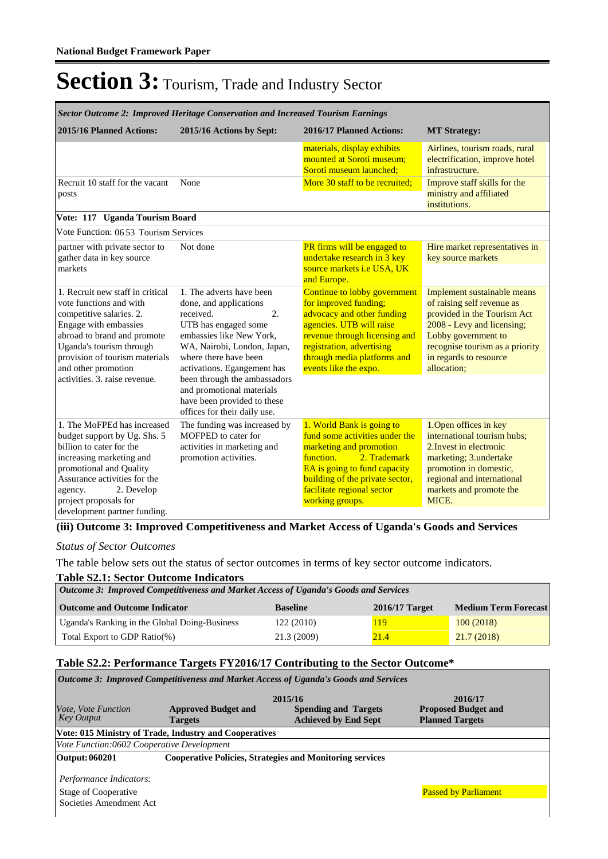| Sector Outcome 2: Improved Heritage Conservation and Increased Tourism Earnings                                                                                                                                                                                       |                                                                                                                                                                                                                                                                                                                                              |                                                                                                                                                                                                                                         |                                                                                                                                                                                                                           |  |  |  |
|-----------------------------------------------------------------------------------------------------------------------------------------------------------------------------------------------------------------------------------------------------------------------|----------------------------------------------------------------------------------------------------------------------------------------------------------------------------------------------------------------------------------------------------------------------------------------------------------------------------------------------|-----------------------------------------------------------------------------------------------------------------------------------------------------------------------------------------------------------------------------------------|---------------------------------------------------------------------------------------------------------------------------------------------------------------------------------------------------------------------------|--|--|--|
| 2015/16 Planned Actions:                                                                                                                                                                                                                                              | 2015/16 Actions by Sept:                                                                                                                                                                                                                                                                                                                     | 2016/17 Planned Actions:<br><b>MT Strategy:</b>                                                                                                                                                                                         |                                                                                                                                                                                                                           |  |  |  |
|                                                                                                                                                                                                                                                                       |                                                                                                                                                                                                                                                                                                                                              | materials, display exhibits<br>mounted at Soroti museum:<br>Soroti museum launched;                                                                                                                                                     | Airlines, tourism roads, rural<br>electrification, improve hotel<br>infrastructure.                                                                                                                                       |  |  |  |
| Recruit 10 staff for the vacant<br>posts                                                                                                                                                                                                                              | None                                                                                                                                                                                                                                                                                                                                         | More 30 staff to be recruited:                                                                                                                                                                                                          | Improve staff skills for the<br>ministry and affiliated<br>institutions.                                                                                                                                                  |  |  |  |
| Vote: 117 Uganda Tourism Board                                                                                                                                                                                                                                        |                                                                                                                                                                                                                                                                                                                                              |                                                                                                                                                                                                                                         |                                                                                                                                                                                                                           |  |  |  |
| Vote Function: 06 53 Tourism Services                                                                                                                                                                                                                                 |                                                                                                                                                                                                                                                                                                                                              |                                                                                                                                                                                                                                         |                                                                                                                                                                                                                           |  |  |  |
| partner with private sector to<br>gather data in key source<br>markets                                                                                                                                                                                                | Not done                                                                                                                                                                                                                                                                                                                                     | <b>PR</b> firms will be engaged to<br>undertake research in 3 key<br>source markets <i>i.e</i> USA, UK<br>and Europe.                                                                                                                   | Hire market representatives in<br>key source markets                                                                                                                                                                      |  |  |  |
| 1. Recruit new staff in critical<br>vote functions and with<br>competitive salaries. 2.<br>Engage with embassies<br>abroad to brand and promote<br>Uganda's tourism through<br>provision of tourism materials<br>and other promotion<br>activities. 3. raise revenue. | 1. The adverts have been<br>done, and applications<br>2.<br>received.<br>UTB has engaged some<br>embassies like New York,<br>WA, Nairobi, London, Japan,<br>where there have been<br>activations. Egangement has<br>been through the ambassadors<br>and promotional materials<br>have been provided to these<br>offices for their daily use. | Continue to lobby government<br>for improved funding;<br>advocacy and other funding<br>agencies. UTB will raise<br>revenue through licensing and<br>registration, advertising<br>through media platforms and<br>events like the expo.   | Implement sustainable means<br>of raising self revenue as<br>provided in the Tourism Act<br>2008 - Levy and licensing;<br>Lobby government to<br>recognise tourism as a priority<br>in regards to resource<br>allocation; |  |  |  |
| 1. The MoFPEd has increased<br>budget support by Ug. Shs. 5<br>billion to cater for the<br>increasing marketing and<br>promotional and Quality<br>Assurance activities for the<br>2. Develop<br>agency.<br>project proposals for<br>development partner funding.      | The funding was increased by<br>MOFPED to cater for<br>activities in marketing and<br>promotion activities.                                                                                                                                                                                                                                  | 1. World Bank is going to<br>fund some activities under the<br>marketing and promotion<br>function.<br>2. Trademark<br>EA is going to fund capacity<br>building of the private sector,<br>facilitate regional sector<br>working groups. | 1. Open offices in key<br>international tourism hubs;<br>2. Invest in electronic<br>marketing; 3.undertake<br>promotion in domestic,<br>regional and international<br>markets and promote the<br>MICE.                    |  |  |  |

#### **(iii) Outcome 3: Improved Competitiveness and Market Access of Uganda's Goods and Services**

#### *Status of Sector Outcomes*

The table below sets out the status of sector outcomes in terms of key sector outcome indicators.

#### **Table S2.1: Sector Outcome Indicators**

| Outcome 3: Improved Competitiveness and Market Access of Uganda's Goods and Services |                 |                  |                             |  |  |  |  |
|--------------------------------------------------------------------------------------|-----------------|------------------|-----------------------------|--|--|--|--|
| <b>Outcome and Outcome Indicator</b>                                                 | <b>Baseline</b> | $2016/17$ Target | <b>Medium Term Forecast</b> |  |  |  |  |
| Uganda's Ranking in the Global Doing-Business                                        | 122(2010)       | 119              | 100(2018)                   |  |  |  |  |
| Total Export to GDP Ratio(%)                                                         | 21.3 (2009)     | 21.4             | 21.7(2018)                  |  |  |  |  |

#### **Table S2.2: Performance Targets FY2016/17 Contributing to the Sector Outcome\***

| <i><b>Outcome 3: Improved Competitiveness and Market Access of Uganda's Goods and Services</b></i> |                                                        |                                                                 |                             |  |  |  |  |  |
|----------------------------------------------------------------------------------------------------|--------------------------------------------------------|-----------------------------------------------------------------|-----------------------------|--|--|--|--|--|
|                                                                                                    | 2015/16                                                | 2016/17                                                         |                             |  |  |  |  |  |
| <i>Vote, Vote Function</i>                                                                         | <b>Approved Budget and</b>                             | <b>Spending and Targets</b>                                     | <b>Proposed Budget and</b>  |  |  |  |  |  |
| <b>Key Output</b>                                                                                  | <b>Targets</b>                                         | <b>Achieved by End Sept</b>                                     | <b>Planned Targets</b>      |  |  |  |  |  |
|                                                                                                    | Vote: 015 Ministry of Trade, Industry and Cooperatives |                                                                 |                             |  |  |  |  |  |
| Vote Function:0602 Cooperative Development                                                         |                                                        |                                                                 |                             |  |  |  |  |  |
| Output: 060201                                                                                     |                                                        | <b>Cooperative Policies, Strategies and Monitoring services</b> |                             |  |  |  |  |  |
| Performance Indicators:<br>Stage of Cooperative<br>Societies Amendment Act                         |                                                        |                                                                 | <b>Passed by Parliament</b> |  |  |  |  |  |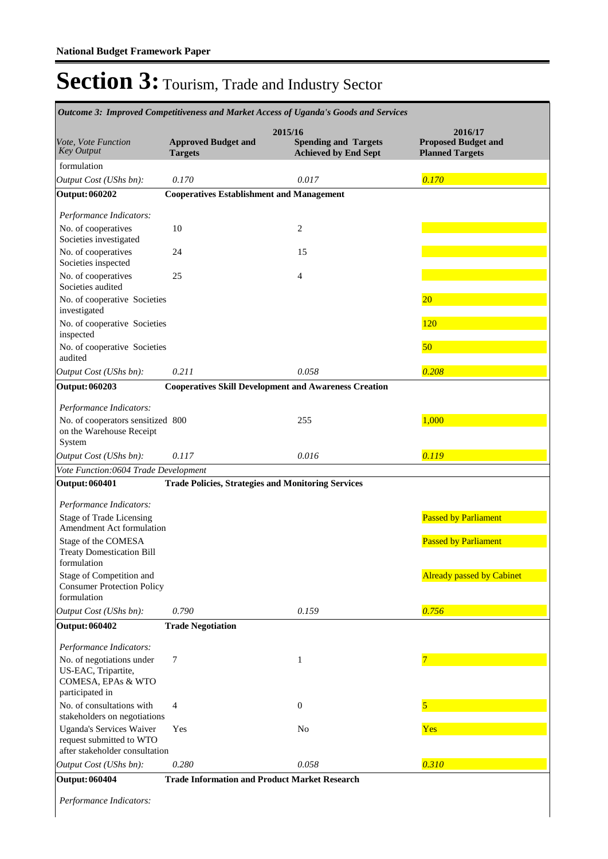|                                                                                               |                                                           | Outcome 3: Improved Competitiveness and Market Access of Uganda's Goods and Services |                                                                 |
|-----------------------------------------------------------------------------------------------|-----------------------------------------------------------|--------------------------------------------------------------------------------------|-----------------------------------------------------------------|
| Vote, Vote Function<br><b>Key Output</b>                                                      | <b>Approved Budget and</b><br><b>Targets</b>              | 2015/16<br><b>Spending and Targets</b><br><b>Achieved by End Sept</b>                | 2016/17<br><b>Proposed Budget and</b><br><b>Planned Targets</b> |
| formulation                                                                                   |                                                           |                                                                                      |                                                                 |
| Output Cost (UShs bn):                                                                        | 0.170                                                     | 0.017                                                                                | 0.170                                                           |
| <b>Output: 060202</b>                                                                         | <b>Cooperatives Establishment and Management</b>          |                                                                                      |                                                                 |
| Performance Indicators:                                                                       |                                                           |                                                                                      |                                                                 |
| No. of cooperatives<br>Societies investigated                                                 | 10                                                        | 2                                                                                    |                                                                 |
| No. of cooperatives<br>Societies inspected                                                    | 24                                                        | 15                                                                                   |                                                                 |
| No. of cooperatives<br>Societies audited                                                      | 25                                                        | 4                                                                                    |                                                                 |
| No. of cooperative Societies<br>investigated                                                  |                                                           |                                                                                      | 20                                                              |
| No. of cooperative Societies<br>inspected                                                     |                                                           |                                                                                      | 120                                                             |
| No. of cooperative Societies<br>audited                                                       |                                                           |                                                                                      | 50                                                              |
| Output Cost (UShs bn):                                                                        | 0.211                                                     | 0.058                                                                                | 0.208                                                           |
| <b>Output: 060203</b>                                                                         |                                                           | <b>Cooperatives Skill Development and Awareness Creation</b>                         |                                                                 |
| Performance Indicators:                                                                       |                                                           |                                                                                      |                                                                 |
| No. of cooperators sensitized 800<br>on the Warehouse Receipt<br>System                       |                                                           | 255                                                                                  | 1,000                                                           |
| Output Cost (UShs bn):                                                                        | 0.117                                                     | 0.016                                                                                | 0.119                                                           |
| Vote Function:0604 Trade Development                                                          |                                                           |                                                                                      |                                                                 |
| <b>Output: 060401</b>                                                                         | <b>Trade Policies, Strategies and Monitoring Services</b> |                                                                                      |                                                                 |
| Performance Indicators:                                                                       |                                                           |                                                                                      |                                                                 |
| <b>Stage of Trade Licensing</b><br>Amendment Act formulation                                  |                                                           |                                                                                      | <b>Passed by Parliament</b>                                     |
| Stage of the COMESA<br><b>Treaty Domestication Bill</b><br>formulation                        |                                                           |                                                                                      | <b>Passed by Parliament</b>                                     |
| Stage of Competition and<br><b>Consumer Protection Policy</b><br>formulation                  |                                                           |                                                                                      | <b>Already passed by Cabinet</b>                                |
| Output Cost (UShs bn):                                                                        | 0.790                                                     | 0.159                                                                                | 0.756                                                           |
| <b>Output: 060402</b>                                                                         | <b>Trade Negotiation</b>                                  |                                                                                      |                                                                 |
| Performance Indicators:                                                                       |                                                           |                                                                                      |                                                                 |
| No. of negotiations under<br>US-EAC, Tripartite,<br>COMESA, EPAs & WTO<br>participated in     | 7                                                         | 1                                                                                    |                                                                 |
| No. of consultations with<br>stakeholders on negotiations                                     | 4                                                         | $\mathbf{0}$                                                                         | 5                                                               |
| <b>Uganda's Services Waiver</b><br>request submitted to WTO<br>after stakeholder consultation | Yes                                                       | No                                                                                   | Yes                                                             |
| Output Cost (UShs bn):                                                                        | 0.280                                                     | 0.058                                                                                | 0.310                                                           |
| <b>Output: 060404</b>                                                                         | <b>Trade Information and Product Market Research</b>      |                                                                                      |                                                                 |

*Performance Indicators:*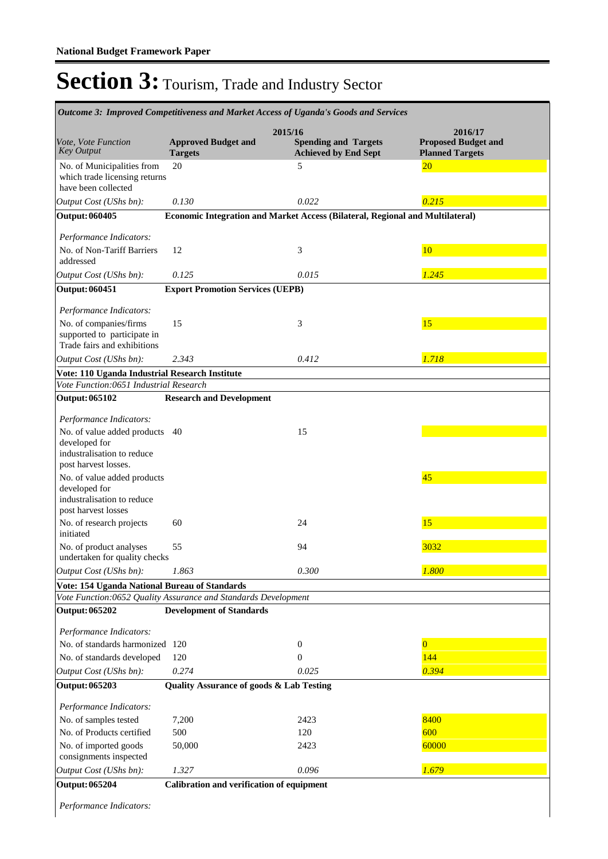| Outcome 3: Improved Competitiveness and Market Access of Uganda's Goods and Services                            |                                                     |                                                                               |                                                                 |  |  |
|-----------------------------------------------------------------------------------------------------------------|-----------------------------------------------------|-------------------------------------------------------------------------------|-----------------------------------------------------------------|--|--|
| Vote, Vote Function<br><b>Key Output</b>                                                                        | <b>Approved Budget and</b><br><b>Targets</b>        | 2015/16<br><b>Spending and Targets</b><br><b>Achieved by End Sept</b>         | 2016/17<br><b>Proposed Budget and</b><br><b>Planned Targets</b> |  |  |
| No. of Municipalities from<br>which trade licensing returns<br>have been collected                              | 20                                                  | 5                                                                             | 20                                                              |  |  |
| Output Cost (UShs bn):                                                                                          | 0.130                                               | 0.022                                                                         | 0.215                                                           |  |  |
| <b>Output: 060405</b>                                                                                           |                                                     | Economic Integration and Market Access (Bilateral, Regional and Multilateral) |                                                                 |  |  |
|                                                                                                                 |                                                     |                                                                               |                                                                 |  |  |
| Performance Indicators:<br>No. of Non-Tariff Barriers<br>addressed                                              | 12                                                  | 3                                                                             | 10                                                              |  |  |
| Output Cost (UShs bn):                                                                                          | 0.125                                               | 0.015                                                                         | 1.245                                                           |  |  |
| <b>Output: 060451</b>                                                                                           | <b>Export Promotion Services (UEPB)</b>             |                                                                               |                                                                 |  |  |
|                                                                                                                 |                                                     |                                                                               |                                                                 |  |  |
| Performance Indicators:<br>No. of companies/firms<br>supported to participate in<br>Trade fairs and exhibitions | 15                                                  | 3                                                                             | 15                                                              |  |  |
| Output Cost (UShs bn):                                                                                          | 2.343                                               | 0.412                                                                         | 1.718                                                           |  |  |
| Vote: 110 Uganda Industrial Research Institute                                                                  |                                                     |                                                                               |                                                                 |  |  |
| Vote Function:0651 Industrial Research                                                                          |                                                     |                                                                               |                                                                 |  |  |
| <b>Output: 065102</b>                                                                                           | <b>Research and Development</b>                     |                                                                               |                                                                 |  |  |
| Performance Indicators:                                                                                         |                                                     |                                                                               |                                                                 |  |  |
| No. of value added products 40<br>developed for<br>industralisation to reduce<br>post harvest losses.           |                                                     | 15                                                                            |                                                                 |  |  |
| No. of value added products<br>developed for<br>industralisation to reduce<br>post harvest losses               |                                                     |                                                                               | 45                                                              |  |  |
| No. of research projects<br>initiated                                                                           | 60                                                  | 24                                                                            | 15                                                              |  |  |
| No. of product analyses<br>undertaken for quality checks                                                        | 55                                                  | 94                                                                            | 3032                                                            |  |  |
| Output Cost (UShs bn):                                                                                          | 1.863                                               | 0.300                                                                         | 1.800                                                           |  |  |
| Vote: 154 Uganda National Bureau of Standards                                                                   |                                                     |                                                                               |                                                                 |  |  |
| Vote Function:0652 Quality Assurance and Standards Development                                                  |                                                     |                                                                               |                                                                 |  |  |
| <b>Output: 065202</b>                                                                                           | <b>Development of Standards</b>                     |                                                                               |                                                                 |  |  |
| Performance Indicators:                                                                                         |                                                     |                                                                               |                                                                 |  |  |
| No. of standards harmonized 120                                                                                 |                                                     | $\boldsymbol{0}$                                                              | $\overline{0}$                                                  |  |  |
| No. of standards developed                                                                                      | 120                                                 | $\Omega$                                                                      | 144                                                             |  |  |
| Output Cost (UShs bn):                                                                                          | 0.274                                               | 0.025                                                                         | 0.394                                                           |  |  |
| <b>Output: 065203</b>                                                                                           | <b>Quality Assurance of goods &amp; Lab Testing</b> |                                                                               |                                                                 |  |  |
|                                                                                                                 |                                                     |                                                                               |                                                                 |  |  |
| Performance Indicators:                                                                                         |                                                     |                                                                               |                                                                 |  |  |
| No. of samples tested                                                                                           | 7,200                                               | 2423                                                                          | 8400                                                            |  |  |
| No. of Products certified                                                                                       | 500                                                 | 120                                                                           | 600                                                             |  |  |
| No. of imported goods<br>consignments inspected                                                                 | 50,000                                              | 2423                                                                          | 60000                                                           |  |  |
| Output Cost (UShs bn):                                                                                          | 1.327                                               | 0.096                                                                         | 1.679                                                           |  |  |
| <b>Output: 065204</b>                                                                                           | Calibration and verification of equipment           |                                                                               |                                                                 |  |  |

*Performance Indicators:*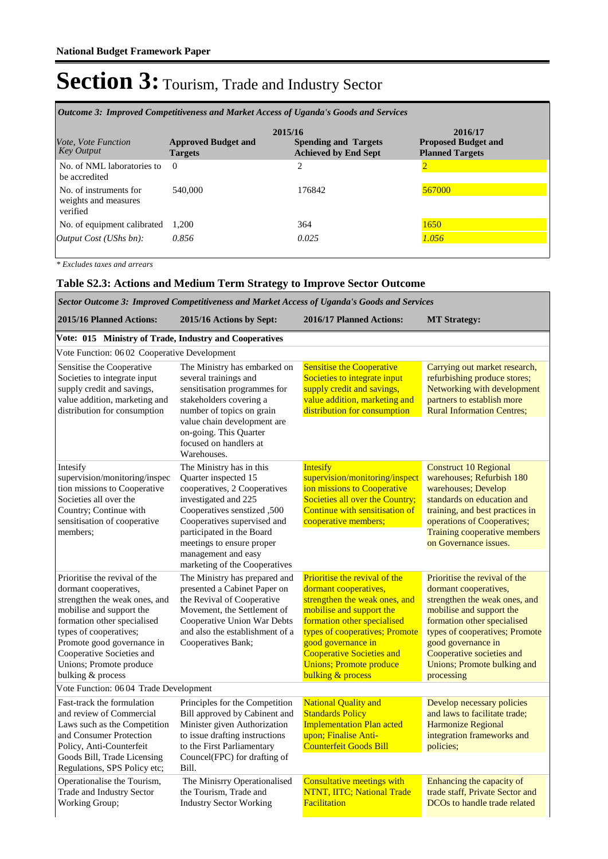| Outcome 3: Improved Competitiveness and Market Access of Uganda's Goods and Services |                                              |                                                                       |                                                                 |  |  |  |  |
|--------------------------------------------------------------------------------------|----------------------------------------------|-----------------------------------------------------------------------|-----------------------------------------------------------------|--|--|--|--|
| <i>Vote, Vote Function</i><br><b>Key Output</b>                                      | <b>Approved Budget and</b><br><b>Targets</b> | 2015/16<br><b>Spending and Targets</b><br><b>Achieved by End Sept</b> | 2016/17<br><b>Proposed Budget and</b><br><b>Planned Targets</b> |  |  |  |  |
| No. of NML laboratories to<br>be accredited                                          | $\Omega$                                     | $\overline{c}$                                                        |                                                                 |  |  |  |  |
| No. of instruments for<br>weights and measures<br>verified                           | 540,000                                      | 176842                                                                | 567000                                                          |  |  |  |  |
| No. of equipment calibrated                                                          | 1.200                                        | 364                                                                   | 1650                                                            |  |  |  |  |
| <i>Output Cost (UShs bn):</i>                                                        | 0.856                                        | 0.025                                                                 | 1.056                                                           |  |  |  |  |

*\* Excludes taxes and arrears*

#### **Table S2.3: Actions and Medium Term Strategy to Improve Sector Outcome**

| Sector Outcome 3: Improved Competitiveness and Market Access of Uganda's Goods and Services                                                                                                                                                                                             |                                                                                                                                                                                                                                                         |                                                                                                                                                                                                                                                                                                                   |                                                                                                                                                                                                                                                                                      |  |  |  |
|-----------------------------------------------------------------------------------------------------------------------------------------------------------------------------------------------------------------------------------------------------------------------------------------|---------------------------------------------------------------------------------------------------------------------------------------------------------------------------------------------------------------------------------------------------------|-------------------------------------------------------------------------------------------------------------------------------------------------------------------------------------------------------------------------------------------------------------------------------------------------------------------|--------------------------------------------------------------------------------------------------------------------------------------------------------------------------------------------------------------------------------------------------------------------------------------|--|--|--|
| 2015/16 Planned Actions:                                                                                                                                                                                                                                                                | 2015/16 Actions by Sept:                                                                                                                                                                                                                                | 2016/17 Planned Actions:                                                                                                                                                                                                                                                                                          | <b>MT Strategy:</b>                                                                                                                                                                                                                                                                  |  |  |  |
| Vote: 015 Ministry of Trade, Industry and Cooperatives                                                                                                                                                                                                                                  |                                                                                                                                                                                                                                                         |                                                                                                                                                                                                                                                                                                                   |                                                                                                                                                                                                                                                                                      |  |  |  |
| Vote Function: 06 02 Cooperative Development                                                                                                                                                                                                                                            |                                                                                                                                                                                                                                                         |                                                                                                                                                                                                                                                                                                                   |                                                                                                                                                                                                                                                                                      |  |  |  |
| Sensitise the Cooperative<br>Societies to integrate input<br>supply credit and savings,<br>value addition, marketing and<br>distribution for consumption                                                                                                                                | The Ministry has embarked on<br>several trainings and<br>sensitisation programmes for<br>stakeholders covering a<br>number of topics on grain<br>value chain development are                                                                            | <b>Sensitise the Cooperative</b><br>Societies to integrate input<br>supply credit and savings,<br>value addition, marketing and<br>distribution for consumption                                                                                                                                                   | Carrying out market research,<br>refurbishing produce stores;<br>Networking with development<br>partners to establish more<br><b>Rural Information Centres:</b>                                                                                                                      |  |  |  |
|                                                                                                                                                                                                                                                                                         | on-going. This Quarter<br>focused on handlers at<br>Warehouses.                                                                                                                                                                                         |                                                                                                                                                                                                                                                                                                                   |                                                                                                                                                                                                                                                                                      |  |  |  |
| Intesify<br>supervision/monitoring/inspec<br>tion missions to Cooperative<br>Societies all over the<br>Country; Continue with<br>sensitisation of cooperative<br>members:                                                                                                               | The Ministry has in this<br>Quarter inspected 15<br>cooperatives, 2 Cooperatives<br>investigated and 225<br>Cooperatives senstized ,500<br>Cooperatives supervised and<br>participated in the Board<br>meetings to ensure proper<br>management and easy | <b>Intesify</b><br>supervision/monitoring/inspect<br>ion missions to Cooperative<br>Societies all over the Country;<br>Continue with sensitisation of<br>cooperative members;                                                                                                                                     | <b>Construct 10 Regional</b><br>warehouses; Refurbish 180<br>warehouses; Develop<br>standards on education and<br>training, and best practices in<br>operations of Cooperatives;<br>Training cooperative members<br>on Governance issues.                                            |  |  |  |
| Prioritise the revival of the<br>dormant cooperatives,<br>strengthen the weak ones, and<br>mobilise and support the<br>formation other specialised<br>types of cooperatives;<br>Promote good governance in<br>Cooperative Societies and<br>Unions; Promote produce<br>bulking & process | marketing of the Cooperatives<br>The Ministry has prepared and<br>presented a Cabinet Paper on<br>the Revival of Cooperative<br>Movement, the Settlement of<br>Cooperative Union War Debts<br>and also the establishment of a<br>Cooperatives Bank;     | Prioritise the revival of the<br>dormant cooperatives,<br>strengthen the weak ones, and<br>mobilise and support the<br>formation other specialised<br>types of cooperatives; Promote<br>good governance in<br><b>Cooperative Societies and</b><br><b>Unions</b> ; Promote produce<br><b>bulking &amp; process</b> | Prioritise the revival of the<br>dormant cooperatives,<br>strengthen the weak ones, and<br>mobilise and support the<br>formation other specialised<br>types of cooperatives; Promote<br>good governance in<br>Cooperative societies and<br>Unions; Promote bulking and<br>processing |  |  |  |
| Vote Function: 06 04 Trade Development                                                                                                                                                                                                                                                  |                                                                                                                                                                                                                                                         |                                                                                                                                                                                                                                                                                                                   |                                                                                                                                                                                                                                                                                      |  |  |  |
| Fast-track the formulation<br>and review of Commercial<br>Laws such as the Competition<br>and Consumer Protection<br>Policy, Anti-Counterfeit                                                                                                                                           | Principles for the Competition<br>Bill approved by Cabinent and<br>Minister given Authorization<br>to issue drafting instructions<br>to the First Parliamentary                                                                                         | <b>National Quality and</b><br><b>Standards Policy</b><br><b>Implementation Plan acted</b><br>upon; Finalise Anti-<br><b>Counterfeit Goods Bill</b>                                                                                                                                                               | Develop necessary policies<br>and laws to facilitate trade;<br><b>Harmonize Regional</b><br>integration frameworks and<br>policies:                                                                                                                                                  |  |  |  |
| Goods Bill, Trade Licensing<br>Regulations, SPS Policy etc;                                                                                                                                                                                                                             | Councel(FPC) for drafting of<br>Bill.                                                                                                                                                                                                                   |                                                                                                                                                                                                                                                                                                                   |                                                                                                                                                                                                                                                                                      |  |  |  |
| Operationalise the Tourism,<br>Trade and Industry Sector<br>Working Group;                                                                                                                                                                                                              | The Minisrry Operationalised<br>the Tourism, Trade and<br><b>Industry Sector Working</b>                                                                                                                                                                | Consultative meetings with<br>NTNT, IITC; National Trade<br><b>Facilitation</b>                                                                                                                                                                                                                                   | Enhancing the capacity of<br>trade staff, Private Sector and<br>DCO <sub>s</sub> to handle trade related                                                                                                                                                                             |  |  |  |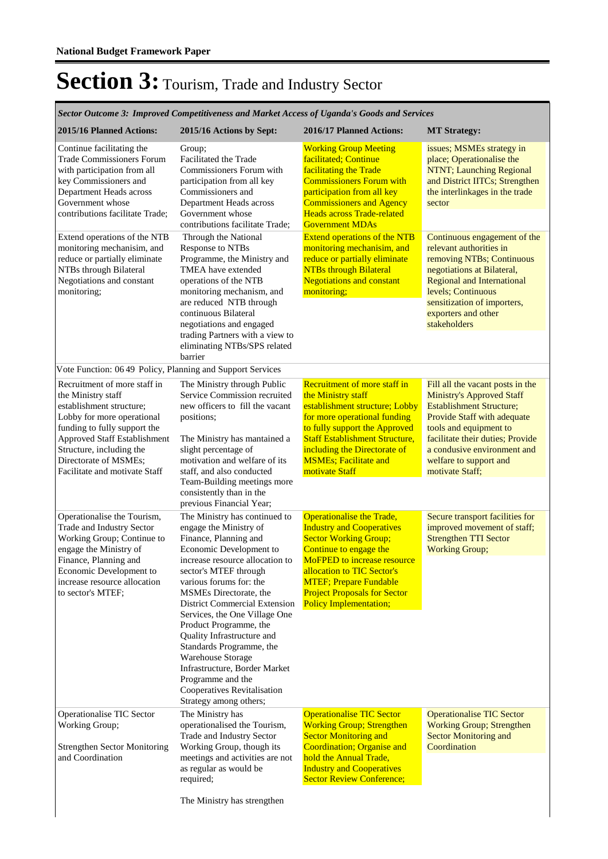**2015/16 Planned Actions: 2015/16 Actions by Sept: 2016/17 Planned Actions: MT Strategy:** *Sector Outcome 3: Improved Competitiveness and Market Access of Uganda's Goods and Services* Continue facilitating the Trade Commissioners Forum with participation from all key Commissioners and Department Heads across Government whose contributions facilitate Trade; Working Group Meeting facilitated; Continue facilitating the Trade Commissioners Forum with participation from all key Commissioners and Agency Heads across Trade-related Government MDAs issues; MSMEs strategy in place; Operationalise the NTNT; Launching Regional and District IITCs; Strengthen the interlinkages in the trade sector Group; Facilitated the Trade Commissioners Forum with participation from all key Commissioners and Department Heads across Government whose contributions facilitate Trade; Extend operations of the NTB monitoring mechanisim, and reduce or partially eliminate NTBs through Bilateral Negotiations and constant monitoring; Extend operations of the NTB monitoring mechanisim, and reduce or partially eliminate **NTBs through Bilateral** Negotiations and constant monitoring; Continuous engagement of the relevant authorities in removing NTBs; Continuous negotiations at Bilateral, Regional and International levels; Continuous sensitization of importers, exporters and other stakeholders Through the National Response to NTBs Programme, the Ministry and TMEA have extended operations of the NTB monitoring mechanism, and are reduced NTB through continuous Bilateral negotiations and engaged trading Partners with a view to eliminating NTBs/SPS related barrier Vote Function: 06 49 Policy, Planning and Support Services Recruitment of more staff in the Ministry staff establishment structure; Lobby for more operational funding to fully support the Approved Staff Establishment Structure, including the Directorate of MSMEs; Facilitate and motivate Staff Recruitment of more staff in the Ministry staff establishment structure; Lobby for more operational funding to fully support the Approved Staff Establishment Structure, including the Directorate of MSMEs; Facilitate and motivate Staff Fill all the vacant posts in the Ministry's Approved Staff Establishment Structure; Provide Staff with adequate tools and equipment to facilitate their duties; Provide a condusive environment and welfare to support and motivate Staff; The Ministry through Public Service Commission recruited new officers to fill the vacant positions; The Ministry has mantained a slight percentage of motivation and welfare of its staff, and also conducted Team-Building meetings more consistently than in the previous Financial Year; Operationalise the Tourism, Trade and Industry Sector Working Group; Continue to engage the Ministry of Finance, Planning and Economic Development to increase resource allocation to sector's MTEF; Operationalise the Trade, Industry and Cooperatives **Sector Working Group;** Continue to engage the MoFPED to increase resource allocation to TIC Sector's MTEF; Prepare Fundable Project Proposals for Sector Policy Implementation; Secure transport facilities for improved movement of staff; Strengthen TTI Sector Working Group; The Ministry has continued to engage the Ministry of Finance, Planning and Economic Development to increase resource allocation to sector's MTEF through various forums for: the MSMEs Directorate, the District Commercial Extension Services, the One Village One Product Programme, the Quality Infrastructure and Standards Programme, the Warehouse Storage Infrastructure, Border Market Programme and the Cooperatives Revitalisation Strategy among others; Operationalise TIC Sector Working Group; Strengthen Sector Monitoring and Coordination Operationalise TIC Sector Working Group; Strengthen **Sector Monitoring and** Coordination; Organise and hold the Annual Trade, Industry and Cooperatives Sector Review Conference; Operationalise TIC Sector Working Group; Strengthen Sector Monitoring and **Coordination** The Ministry has operationalised the Tourism, Trade and Industry Sector Working Group, though its meetings and activities are not as regular as would be required;

The Ministry has strengthen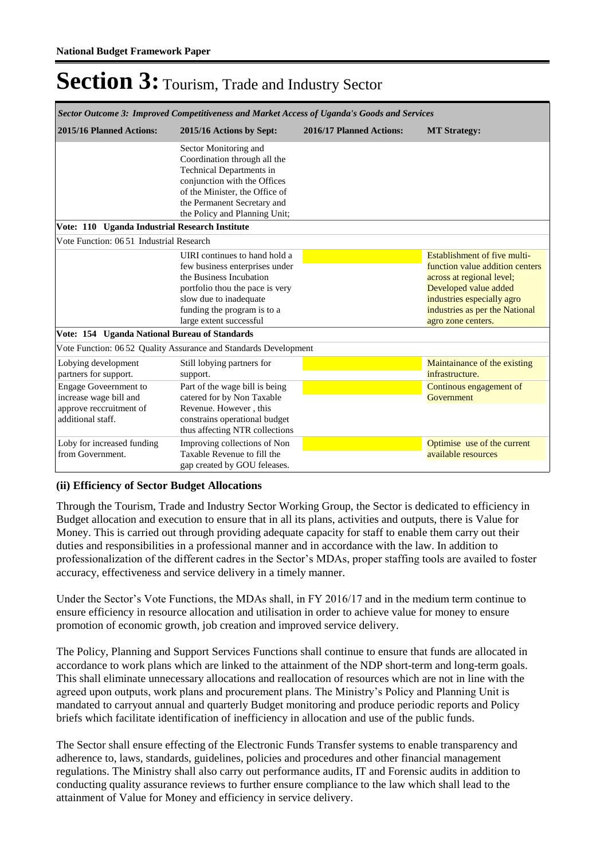| Sector Outcome 3: Improved Competitiveness and Market Access of Uganda's Goods and Services            |                                                                                                                                                                                                                     |                          |                                                                                                                                                                                                             |  |  |  |  |
|--------------------------------------------------------------------------------------------------------|---------------------------------------------------------------------------------------------------------------------------------------------------------------------------------------------------------------------|--------------------------|-------------------------------------------------------------------------------------------------------------------------------------------------------------------------------------------------------------|--|--|--|--|
| 2015/16 Planned Actions:                                                                               | 2015/16 Actions by Sept:                                                                                                                                                                                            | 2016/17 Planned Actions: | <b>MT</b> Strategy:                                                                                                                                                                                         |  |  |  |  |
|                                                                                                        | Sector Monitoring and<br>Coordination through all the<br>Technical Departments in<br>conjunction with the Offices<br>of the Minister, the Office of<br>the Permanent Secretary and<br>the Policy and Planning Unit; |                          |                                                                                                                                                                                                             |  |  |  |  |
| Vote: 110 Uganda Industrial Research Institute                                                         |                                                                                                                                                                                                                     |                          |                                                                                                                                                                                                             |  |  |  |  |
| Vote Function: 0651 Industrial Research                                                                |                                                                                                                                                                                                                     |                          |                                                                                                                                                                                                             |  |  |  |  |
|                                                                                                        | UIRI continues to hand hold a<br>few business enterprises under<br>the Business Incubation<br>portfolio thou the pace is very<br>slow due to inadequate<br>funding the program is to a<br>large extent successful   |                          | Establishment of five multi-<br>function value addition centers<br>across at regional level;<br>Developed value added<br>industries especially agro<br>industries as per the National<br>agro zone centers. |  |  |  |  |
| Vote: 154 Uganda National Bureau of Standards                                                          |                                                                                                                                                                                                                     |                          |                                                                                                                                                                                                             |  |  |  |  |
|                                                                                                        | Vote Function: 0652 Quality Assurance and Standards Development                                                                                                                                                     |                          |                                                                                                                                                                                                             |  |  |  |  |
| Lobying development<br>partners for support.                                                           | Still lobying partners for<br>support.                                                                                                                                                                              |                          | Maintainance of the existing<br>infrastructure.                                                                                                                                                             |  |  |  |  |
| <b>Engage Goveernment to</b><br>increase wage bill and<br>approve reccruitment of<br>additional staff. | Part of the wage bill is being<br>catered for by Non Taxable<br>Revenue. However, this<br>constrains operational budget<br>thus affecting NTR collections                                                           |                          | Continous engagement of<br>Government                                                                                                                                                                       |  |  |  |  |
| Loby for increased funding<br>from Government.                                                         | Improving collections of Non<br>Taxable Revenue to fill the<br>gap created by GOU feleases.                                                                                                                         |                          | Optimise use of the current<br>available resources                                                                                                                                                          |  |  |  |  |

#### **(ii) Efficiency of Sector Budget Allocations**

Through the Tourism, Trade and Industry Sector Working Group, the Sector is dedicated to efficiency in Budget allocation and execution to ensure that in all its plans, activities and outputs, there is Value for Money. This is carried out through providing adequate capacity for staff to enable them carry out their duties and responsibilities in a professional manner and in accordance with the law. In addition to professionalization of the different cadres in the Sector's MDAs, proper staffing tools are availed to foster accuracy, effectiveness and service delivery in a timely manner.

Under the Sector's Vote Functions, the MDAs shall, in FY 2016/17 and in the medium term continue to ensure efficiency in resource allocation and utilisation in order to achieve value for money to ensure promotion of economic growth, job creation and improved service delivery.

The Policy, Planning and Support Services Functions shall continue to ensure that funds are allocated in accordance to work plans which are linked to the attainment of the NDP short-term and long-term goals. This shall eliminate unnecessary allocations and reallocation of resources which are not in line with the agreed upon outputs, work plans and procurement plans. The Ministry's Policy and Planning Unit is mandated to carryout annual and quarterly Budget monitoring and produce periodic reports and Policy briefs which facilitate identification of inefficiency in allocation and use of the public funds.

The Sector shall ensure effecting of the Electronic Funds Transfer systems to enable transparency and adherence to, laws, standards, guidelines, policies and procedures and other financial management regulations. The Ministry shall also carry out performance audits, IT and Forensic audits in addition to conducting quality assurance reviews to further ensure compliance to the law which shall lead to the attainment of Value for Money and efficiency in service delivery.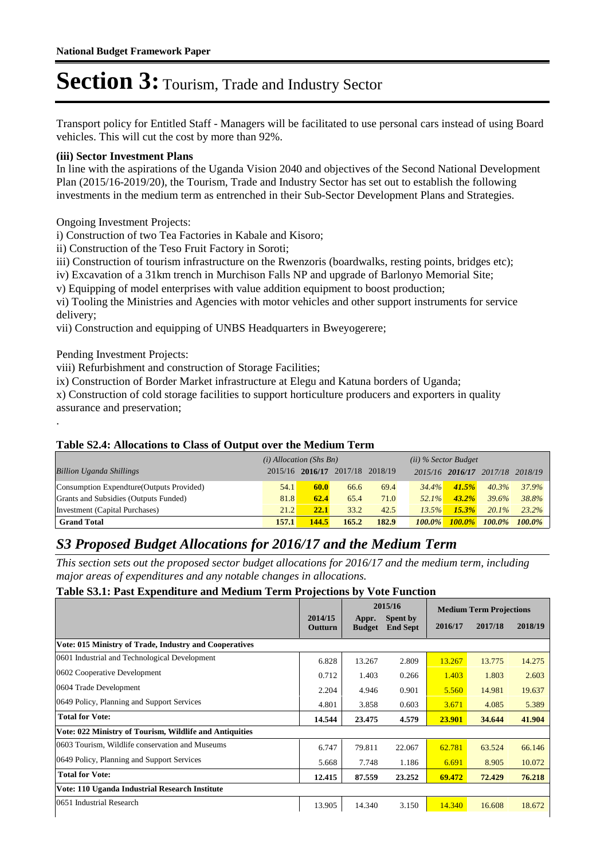Transport policy for Entitled Staff - Managers will be facilitated to use personal cars instead of using Board vehicles. This will cut the cost by more than 92%.

#### **(iii) Sector Investment Plans**

In line with the aspirations of the Uganda Vision 2040 and objectives of the Second National Development Plan (2015/16-2019/20), the Tourism, Trade and Industry Sector has set out to establish the following investments in the medium term as entrenched in their Sub-Sector Development Plans and Strategies.

#### Ongoing Investment Projects:

i) Construction of two Tea Factories in Kabale and Kisoro;

ii) Construction of the Teso Fruit Factory in Soroti;

iii) Construction of tourism infrastructure on the Rwenzoris (boardwalks, resting points, bridges etc);

iv) Excavation of a 31km trench in Murchison Falls NP and upgrade of Barlonyo Memorial Site;

v) Equipping of model enterprises with value addition equipment to boost production;

vi) Tooling the Ministries and Agencies with motor vehicles and other support instruments for service delivery;

vii) Construction and equipping of UNBS Headquarters in Bweyogerere;

Pending Investment Projects:

.

viii) Refurbishment and construction of Storage Facilities;

ix) Construction of Border Market infrastructure at Elegu and Katuna borders of Uganda;

x) Construction of cold storage facilities to support horticulture producers and exporters in quality assurance and preservation;

#### **Table S2.4: Allocations to Class of Output over the Medium Term**

|                                           | $(i)$ Allocation (Shs Bn) |         |                 |       |           | $(ii)$ % Sector Budget |                 |           |
|-------------------------------------------|---------------------------|---------|-----------------|-------|-----------|------------------------|-----------------|-----------|
| <b>Billion Uganda Shillings</b>           | 2015/16                   | 2016/17 | 2017/18 2018/19 |       |           | 2015/16 2016/17        | 2017/18 2018/19 |           |
| Consumption Expendture (Outputs Provided) | 54.1                      | 60.0    | 66.6            | 69.4  | $34.4\%$  | 41.5%                  | $40.3\%$        | $37.9\%$  |
| Grants and Subsidies (Outputs Funded)     | 81.8                      | 62.4    | 65.4            | 71.0  | $52.1\%$  | $43.2\%$               | 39.6%           | 38.8%     |
| Investment (Capital Purchases)            | 21.2                      | 22.1    | 33.2            | 42.5  | 13.5%     | 15.3%                  | $20.1\%$        | $23.2\%$  |
| <b>Grand Total</b>                        | 157.1                     | 144.5   | 165.2           | 182.9 | $100.0\%$ | $100.0\%$              | 100.0%          | $100.0\%$ |

#### *S3 Proposed Budget Allocations for 2016/17 and the Medium Term*

*This section sets out the proposed sector budget allocations for 2016/17 and the medium term, including major areas of expenditures and any notable changes in allocations.* 

#### **Table S3.1: Past Expenditure and Medium Term Projections by Vote Function**

|                                                         | 2014/15 |                        | 2015/16<br><b>Spent by</b> |         | <b>Medium Term Projections</b> |         |
|---------------------------------------------------------|---------|------------------------|----------------------------|---------|--------------------------------|---------|
|                                                         | Outturn | Appr.<br><b>Budget</b> | <b>End Sept</b>            | 2016/17 | 2017/18                        | 2018/19 |
| Vote: 015 Ministry of Trade, Industry and Cooperatives  |         |                        |                            |         |                                |         |
| 0601 Industrial and Technological Development           | 6.828   | 13.267                 | 2.809                      | 13.267  | 13.775                         | 14.275  |
| 0602 Cooperative Development                            | 0.712   | 1.403                  | 0.266                      | 1.403   | 1.803                          | 2.603   |
| 0604 Trade Development                                  | 2.204   | 4.946                  | 0.901                      | 5.560   | 14.981                         | 19.637  |
| 0649 Policy, Planning and Support Services              | 4.801   | 3.858                  | 0.603                      | 3.671   | 4.085                          | 5.389   |
| <b>Total for Vote:</b>                                  | 14.544  | 23.475                 | 4.579                      | 23.901  | 34.644                         | 41.904  |
| Vote: 022 Ministry of Tourism, Wildlife and Antiquities |         |                        |                            |         |                                |         |
| 0603 Tourism, Wildlife conservation and Museums         | 6.747   | 79.811                 | 22.067                     | 62.781  | 63.524                         | 66.146  |
| 0649 Policy, Planning and Support Services              | 5.668   | 7.748                  | 1.186                      | 6.691   | 8.905                          | 10.072  |
| <b>Total for Vote:</b>                                  | 12.415  | 87.559                 | 23.252                     | 69.472  | 72.429                         | 76.218  |
| Vote: 110 Uganda Industrial Research Institute          |         |                        |                            |         |                                |         |
| 0651 Industrial Research                                | 13.905  | 14.340                 | 3.150                      | 14.340  | 16.608                         | 18.672  |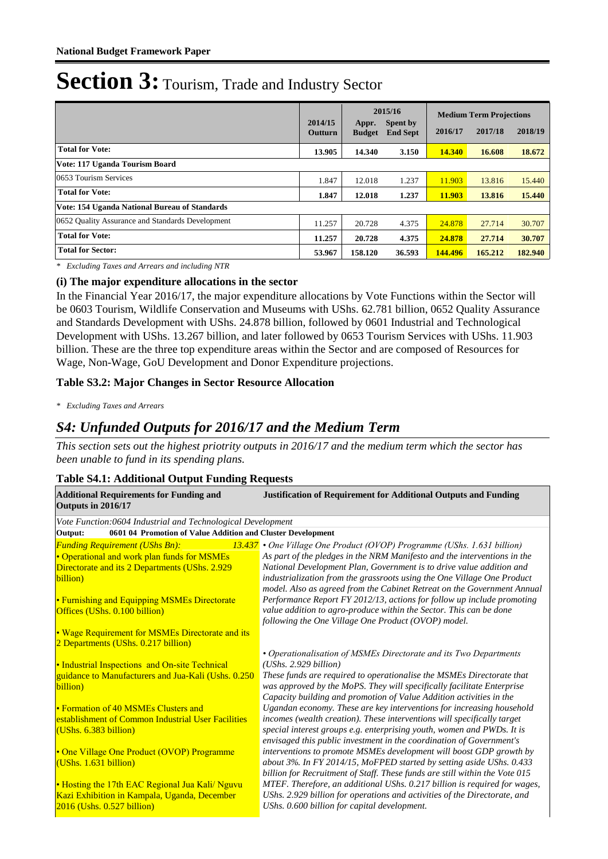|                                                  | 2014/15<br><b>Outturn</b> | Appr.<br><b>Budget</b> | 2015/16<br>Spent by<br><b>End Sept</b> | 2016/17 | <b>Medium Term Projections</b><br>2017/18 | 2018/19 |
|--------------------------------------------------|---------------------------|------------------------|----------------------------------------|---------|-------------------------------------------|---------|
| <b>Total for Vote:</b>                           | 13.905                    | 14.340                 | 3.150                                  | 14.340  | 16.608                                    | 18.672  |
| Vote: 117 Uganda Tourism Board                   |                           |                        |                                        |         |                                           |         |
| 0653 Tourism Services                            | 1.847                     | 12.018                 | 1.237                                  | 11.903  | 13.816                                    | 15.440  |
| <b>Total for Vote:</b>                           | 1.847                     | 12.018                 | 1.237                                  | 11.903  | 13.816                                    | 15.440  |
| Vote: 154 Uganda National Bureau of Standards    |                           |                        |                                        |         |                                           |         |
| 0652 Ouality Assurance and Standards Development | 11.257                    | 20.728                 | 4.375                                  | 24.878  | 27.714                                    | 30.707  |
| <b>Total for Vote:</b>                           | 11.257                    | 20.728                 | 4.375                                  | 24.878  | 27.714                                    | 30.707  |
| <b>Total for Sector:</b>                         | 53,967                    | 158.120                | 36.593                                 | 144.496 | 165.212                                   | 182.940 |

*\* Excluding Taxes and Arrears and including NTR*

#### **(i) The major expenditure allocations in the sector**

In the Financial Year 2016/17, the major expenditure allocations by Vote Functions within the Sector will be 0603 Tourism, Wildlife Conservation and Museums with UShs. 62.781 billion, 0652 Quality Assurance and Standards Development with UShs. 24.878 billion, followed by 0601 Industrial and Technological Development with UShs. 13.267 billion, and later followed by 0653 Tourism Services with UShs. 11.903 billion. These are the three top expenditure areas within the Sector and are composed of Resources for Wage, Non-Wage, GoU Development and Donor Expenditure projections.

#### **Table S3.2: Major Changes in Sector Resource Allocation**

*\* Excluding Taxes and Arrears*

#### *S4: Unfunded Outputs for 2016/17 and the Medium Term*

*This section sets out the highest priotrity outputs in 2016/17 and the medium term which the sector has been unable to fund in its spending plans.*

#### **Table S4.1: Additional Output Funding Requests**

| <b>Additional Requirements for Funding and</b><br>Outputs in 2016/17   | <b>Justification of Requirement for Additional Outputs and Funding</b>                                                                       |
|------------------------------------------------------------------------|----------------------------------------------------------------------------------------------------------------------------------------------|
| Vote Function:0604 Industrial and Technological Development            |                                                                                                                                              |
| 0601 04 Promotion of Value Addition and Cluster Development<br>Output: |                                                                                                                                              |
| <b>Funding Requirement (UShs Bn):</b>                                  | 13.437 • One Village One Product (OVOP) Programme (UShs. 1.631 billion)                                                                      |
| • Operational and work plan funds for MSMEs                            | As part of the pledges in the NRM Manifesto and the interventions in the                                                                     |
| Directorate and its 2 Departments (UShs. 2.929                         | National Development Plan, Government is to drive value addition and                                                                         |
| billion)                                                               | industrialization from the grassroots using the One Village One Product                                                                      |
|                                                                        | model. Also as agreed from the Cabinet Retreat on the Government Annual                                                                      |
| • Furnishing and Equipping MSMEs Directorate                           | Performance Report FY 2012/13, actions for follow up include promoting                                                                       |
| Offices (UShs. 0.100 billion)                                          | value addition to agro-produce within the Sector. This can be done                                                                           |
|                                                                        | following the One Village One Product (OVOP) model.                                                                                          |
| • Wage Requirement for MSMEs Directorate and its                       |                                                                                                                                              |
| 2 Departments (UShs. 0.217 billion)                                    |                                                                                                                                              |
|                                                                        | • Operationalisation of MSMEs Directorate and its Two Departments                                                                            |
| • Industrial Inspections and On-site Technical                         | (UShs. 2.929 billion)                                                                                                                        |
| guidance to Manufacturers and Jua-Kali (Ushs. 0.250                    | These funds are required to operationalise the MSMEs Directorate that                                                                        |
| billion)                                                               | was approved by the MoPS. They will specifically facilitate Enterprise                                                                       |
| • Formation of 40 MSMEs Clusters and                                   | Capacity building and promotion of Value Addition activities in the<br>Ugandan economy. These are key interventions for increasing household |
| establishment of Common Industrial User Facilities                     | incomes (wealth creation). These interventions will specifically target                                                                      |
| (UShs. 6.383 billion)                                                  | special interest groups e.g. enterprising youth, women and PWDs. It is                                                                       |
|                                                                        | envisaged this public investment in the coordination of Government's                                                                         |
| • One Village One Product (OVOP) Programme                             | interventions to promote MSMEs development will boost GDP growth by                                                                          |
| (UShs. 1.631 billion)                                                  | about 3%. In FY 2014/15, MoFPED started by setting aside UShs. 0.433                                                                         |
|                                                                        | billion for Recruitment of Staff. These funds are still within the Vote 015                                                                  |
| • Hosting the 17th EAC Regional Jua Kali/ Nguvu                        | MTEF. Therefore, an additional UShs. 0.217 billion is required for wages,                                                                    |
| Kazi Exhibition in Kampala, Uganda, December                           | UShs. 2.929 billion for operations and activities of the Directorate, and                                                                    |
| $2016$ (Ushs. $0.527$ billion)                                         | UShs. 0.600 billion for capital development.                                                                                                 |
|                                                                        |                                                                                                                                              |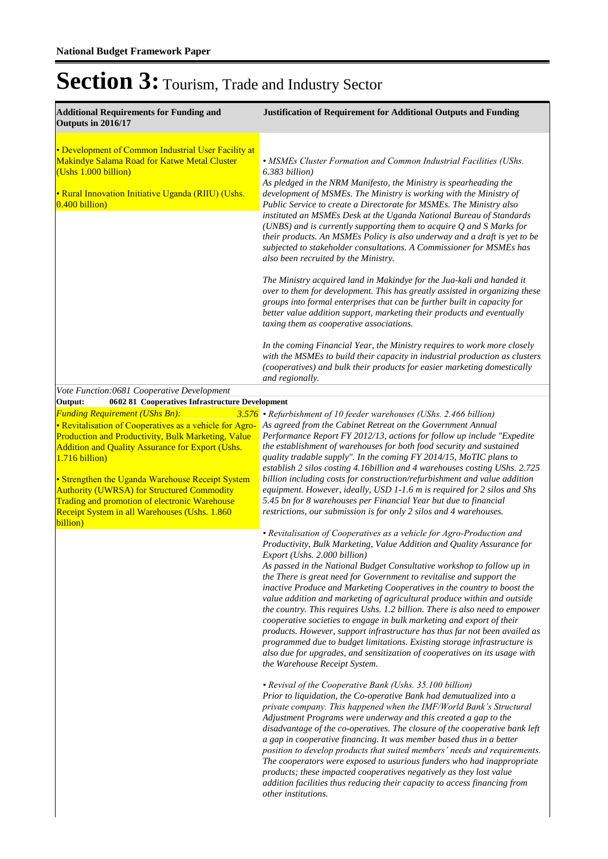| <b>Additional Requirements for Funding and</b><br>Outputs in 2016/17                                                                                                                                                                                                                                                                                                                                                                                                                                                     | <b>Justification of Requirement for Additional Outputs and Funding</b>                                                                                                                                                                                                                                                                                                                                                                                                                                                                                                                                                                                                                                                                                                                                                                                                                                                                                                                                                                                      |
|--------------------------------------------------------------------------------------------------------------------------------------------------------------------------------------------------------------------------------------------------------------------------------------------------------------------------------------------------------------------------------------------------------------------------------------------------------------------------------------------------------------------------|-------------------------------------------------------------------------------------------------------------------------------------------------------------------------------------------------------------------------------------------------------------------------------------------------------------------------------------------------------------------------------------------------------------------------------------------------------------------------------------------------------------------------------------------------------------------------------------------------------------------------------------------------------------------------------------------------------------------------------------------------------------------------------------------------------------------------------------------------------------------------------------------------------------------------------------------------------------------------------------------------------------------------------------------------------------|
| • Development of Common Industrial User Facility at<br>Makindye Salama Road for Katwe Metal Cluster<br>(Ushs 1.000 billion)<br>• Rural Innovation Initiative Uganda (RIIU) (Ushs.<br>$0.400$ billion)                                                                                                                                                                                                                                                                                                                    | • MSMEs Cluster Formation and Common Industrial Facilities (UShs.<br>6.383 billion)<br>As pledged in the NRM Manifesto, the Ministry is spearheading the<br>development of MSMEs. The Ministry is working with the Ministry of<br>Public Service to create a Directorate for MSMEs. The Ministry also<br>instituted an MSMEs Desk at the Uganda National Bureau of Standards<br>(UNBS) and is currently supporting them to acquire $Q$ and $S$ Marks for<br>their products. An MSMEs Policy is also underway and a draft is yet to be<br>subjected to stakeholder consultations. A Commissioner for MSMEs has<br>also been recruited by the Ministry.<br>The Ministry acquired land in Makindye for the Jua-kali and handed it<br>over to them for development. This has greatly assisted in organizing these<br>groups into formal enterprises that can be further built in capacity for<br>better value addition support, marketing their products and eventually                                                                                         |
|                                                                                                                                                                                                                                                                                                                                                                                                                                                                                                                          | taxing them as cooperative associations.<br>In the coming Financial Year, the Ministry requires to work more closely<br>with the MSMEs to build their capacity in industrial production as clusters<br>(cooperatives) and bulk their products for easier marketing domestically<br>and regionally.                                                                                                                                                                                                                                                                                                                                                                                                                                                                                                                                                                                                                                                                                                                                                          |
| Vote Function:0681 Cooperative Development                                                                                                                                                                                                                                                                                                                                                                                                                                                                               |                                                                                                                                                                                                                                                                                                                                                                                                                                                                                                                                                                                                                                                                                                                                                                                                                                                                                                                                                                                                                                                             |
| 0602 81 Cooperatives Infrastructure Development<br>Output:<br><b>Funding Requirement (UShs Bn):</b><br>• Revitalisation of Cooperatives as a vehicle for Agro-<br>Production and Productivity, Bulk Marketing, Value<br><b>Addition and Quality Assurance for Export (Ushs.</b><br>1.716 billion)<br>• Strengthen the Uganda Warehouse Receipt System<br><b>Authority (UWRSA) for Structured Commodity</b><br>Trading and promotion of electronic Warehouse<br>Receipt System in all Warehouses (Ushs. 1.860<br>billion) | 3.576 • Refurbishment of 10 feeder warehouses (UShs. 2.466 billion)<br>As agreed from the Cabinet Retreat on the Government Annual<br>Performance Report FY 2012/13, actions for follow up include "Expedite<br>the establishment of warehouses for both food security and sustained<br>quality tradable supply". In the coming FY 2014/15, MoTIC plans to<br>establish 2 silos costing 4.16billion and 4 warehouses costing UShs. 2.725<br>billion including costs for construction/refurbishment and value addition<br>equipment. However, ideally, USD 1-1.6 m is required for 2 silos and Shs<br>5.45 bn for 8 warehouses per Financial Year but due to financial<br>restrictions, our submission is for only 2 silos and 4 warehouses.                                                                                                                                                                                                                                                                                                                 |
|                                                                                                                                                                                                                                                                                                                                                                                                                                                                                                                          | • Revitalisation of Cooperatives as a vehicle for Agro-Production and<br>Productivity, Bulk Marketing, Value Addition and Quality Assurance for<br>Export (Ushs. 2.000 billion)<br>As passed in the National Budget Consultative workshop to follow up in<br>the There is great need for Government to revitalise and support the<br>inactive Produce and Marketing Cooperatives in the country to boost the<br>value addition and marketing of agricultural produce within and outside<br>the country. This requires Ushs. 1.2 billion. There is also need to empower<br>cooperative societies to engage in bulk marketing and export of their<br>products. However, support infrastructure has thus far not been availed as<br>programmed due to budget limitations. Existing storage infrastructure is<br>also due for upgrades, and sensitization of cooperatives on its usage with<br>the Warehouse Receipt System.<br>• Revival of the Cooperative Bank (Ushs. 35.100 billion)<br>Prior to liquidation, the Co-operative Bank had demutualized into a |
|                                                                                                                                                                                                                                                                                                                                                                                                                                                                                                                          | private company. This happened when the IMF/World Bank's Structural<br>Adjustment Programs were underway and this created a gap to the<br>disadvantage of the co-operatives. The closure of the cooperative bank left<br>a gap in cooperative financing. It was member based thus in a better<br>position to develop products that suited members' needs and requirements.<br>The cooperators were exposed to usurious funders who had inappropriate<br>products; these impacted cooperatives negatively as they lost value<br>addition facilities thus reducing their capacity to access financing from<br>other institutions.                                                                                                                                                                                                                                                                                                                                                                                                                             |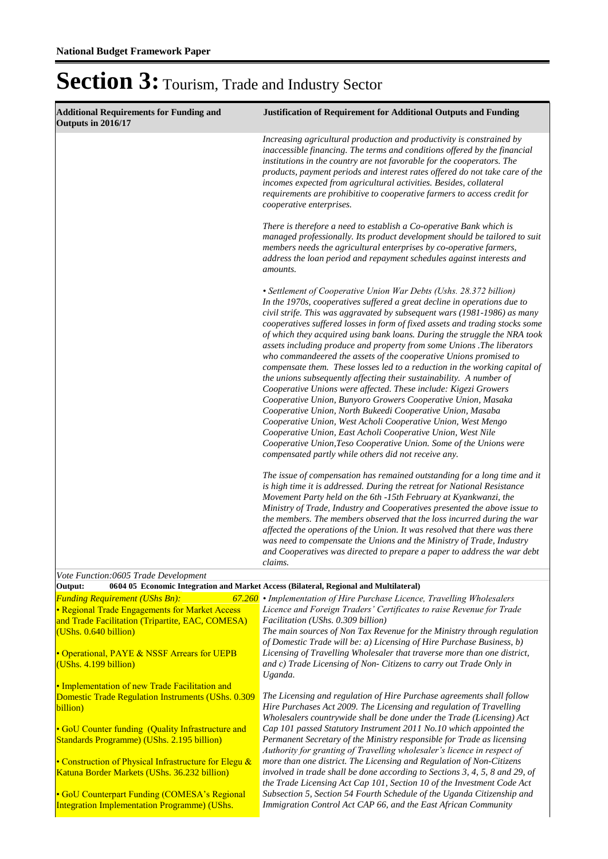| <b>Additional Requirements for Funding and</b><br>Outputs in 2016/17                                                                                                                                                                                                                                                                                                                                                                       | <b>Justification of Requirement for Additional Outputs and Funding</b>                                                                                                                                                                                                                                                                                                                                                                                                                                                                                                                                                                                                                                                                                                                                                                                                                                                                                                                                                                                                                                                                                                                                                                                                                                                                                                                                                                                                                                                                                                                                                                                                                                |
|--------------------------------------------------------------------------------------------------------------------------------------------------------------------------------------------------------------------------------------------------------------------------------------------------------------------------------------------------------------------------------------------------------------------------------------------|-------------------------------------------------------------------------------------------------------------------------------------------------------------------------------------------------------------------------------------------------------------------------------------------------------------------------------------------------------------------------------------------------------------------------------------------------------------------------------------------------------------------------------------------------------------------------------------------------------------------------------------------------------------------------------------------------------------------------------------------------------------------------------------------------------------------------------------------------------------------------------------------------------------------------------------------------------------------------------------------------------------------------------------------------------------------------------------------------------------------------------------------------------------------------------------------------------------------------------------------------------------------------------------------------------------------------------------------------------------------------------------------------------------------------------------------------------------------------------------------------------------------------------------------------------------------------------------------------------------------------------------------------------------------------------------------------------|
|                                                                                                                                                                                                                                                                                                                                                                                                                                            | Increasing agricultural production and productivity is constrained by<br>inaccessible financing. The terms and conditions offered by the financial<br>institutions in the country are not favorable for the cooperators. The<br>products, payment periods and interest rates offered do not take care of the<br>incomes expected from agricultural activities. Besides, collateral<br>requirements are prohibitive to cooperative farmers to access credit for<br>cooperative enterprises.                                                                                                                                                                                                                                                                                                                                                                                                                                                                                                                                                                                                                                                                                                                                                                                                                                                                                                                                                                                                                                                                                                                                                                                                            |
|                                                                                                                                                                                                                                                                                                                                                                                                                                            | There is therefore a need to establish a Co-operative Bank which is<br>managed professionally. Its product development should be tailored to suit<br>members needs the agricultural enterprises by co-operative farmers,<br>address the loan period and repayment schedules against interests and<br>amounts.                                                                                                                                                                                                                                                                                                                                                                                                                                                                                                                                                                                                                                                                                                                                                                                                                                                                                                                                                                                                                                                                                                                                                                                                                                                                                                                                                                                         |
|                                                                                                                                                                                                                                                                                                                                                                                                                                            | • Settlement of Cooperative Union War Debts (Ushs. 28.372 billion)<br>In the 1970s, cooperatives suffered a great decline in operations due to<br>civil strife. This was aggravated by subsequent wars (1981-1986) as many<br>cooperatives suffered losses in form of fixed assets and trading stocks some<br>of which they acquired using bank loans. During the struggle the NRA took<br>assets including produce and property from some Unions. The liberators<br>who commandeered the assets of the cooperative Unions promised to<br>compensate them. These losses led to a reduction in the working capital of<br>the unions subsequently affecting their sustainability. A number of<br>Cooperative Unions were affected. These include: Kigezi Growers<br>Cooperative Union, Bunyoro Growers Cooperative Union, Masaka<br>Cooperative Union, North Bukeedi Cooperative Union, Masaba<br>Cooperative Union, West Acholi Cooperative Union, West Mengo<br>Cooperative Union, East Acholi Cooperative Union, West Nile<br>Cooperative Union, Teso Cooperative Union. Some of the Unions were<br>compensated partly while others did not receive any.<br>The issue of compensation has remained outstanding for a long time and it<br>is high time it is addressed. During the retreat for National Resistance<br>Movement Party held on the 6th -15th February at Kyankwanzi, the<br>Ministry of Trade, Industry and Cooperatives presented the above issue to<br>the members. The members observed that the loss incurred during the war<br>affected the operations of the Union. It was resolved that there was there<br>was need to compensate the Unions and the Ministry of Trade, Industry |
|                                                                                                                                                                                                                                                                                                                                                                                                                                            | and Cooperatives was directed to prepare a paper to address the war debt<br>claims.                                                                                                                                                                                                                                                                                                                                                                                                                                                                                                                                                                                                                                                                                                                                                                                                                                                                                                                                                                                                                                                                                                                                                                                                                                                                                                                                                                                                                                                                                                                                                                                                                   |
| Vote Function:0605 Trade Development<br>Output:                                                                                                                                                                                                                                                                                                                                                                                            | 0604 05 Economic Integration and Market Access (Bilateral, Regional and Multilateral)                                                                                                                                                                                                                                                                                                                                                                                                                                                                                                                                                                                                                                                                                                                                                                                                                                                                                                                                                                                                                                                                                                                                                                                                                                                                                                                                                                                                                                                                                                                                                                                                                 |
| <b>Funding Requirement (UShs Bn):</b><br>• Regional Trade Engagements for Market Access<br>and Trade Facilitation (Tripartite, EAC, COMESA)<br>(UShs. 0.640 billion)<br>• Operational, PAYE & NSSF Arrears for UEPB<br>(UShs. 4.199 billion)                                                                                                                                                                                               | 67.260 • Implementation of Hire Purchase Licence, Travelling Wholesalers<br>Licence and Foreign Traders' Certificates to raise Revenue for Trade<br>Facilitation (UShs. 0.309 billion)<br>The main sources of Non Tax Revenue for the Ministry through regulation<br>of Domestic Trade will be: a) Licensing of Hire Purchase Business, b)<br>Licensing of Travelling Wholesaler that traverse more than one district,<br>and c) Trade Licensing of Non- Citizens to carry out Trade Only in<br>Uganda.                                                                                                                                                                                                                                                                                                                                                                                                                                                                                                                                                                                                                                                                                                                                                                                                                                                                                                                                                                                                                                                                                                                                                                                               |
| • Implementation of new Trade Facilitation and<br><b>Domestic Trade Regulation Instruments (UShs. 0.309</b><br>billion)<br>• GoU Counter funding (Quality Infrastructure and<br>Standards Programme) (UShs. 2.195 billion)<br>• Construction of Physical Infrastructure for Elegu &<br>Katuna Border Markets (UShs. 36.232 billion)<br>• GoU Counterpart Funding (COMESA's Regional<br><b>Integration Implementation Programme) (UShs.</b> | The Licensing and regulation of Hire Purchase agreements shall follow<br>Hire Purchases Act 2009. The Licensing and regulation of Travelling<br>Wholesalers countrywide shall be done under the Trade (Licensing) Act<br>Cap 101 passed Statutory Instrument 2011 No.10 which appointed the<br>Permanent Secretary of the Ministry responsible for Trade as licensing<br>Authority for granting of Travelling wholesaler's licence in respect of<br>more than one district. The Licensing and Regulation of Non-Citizens<br>involved in trade shall be done according to Sections 3, 4, 5, 8 and 29, of<br>the Trade Licensing Act Cap 101, Section 10 of the Investment Code Act<br>Subsection 5, Section 54 Fourth Schedule of the Uganda Citizenship and<br>Immigration Control Act CAP 66, and the East African Community                                                                                                                                                                                                                                                                                                                                                                                                                                                                                                                                                                                                                                                                                                                                                                                                                                                                         |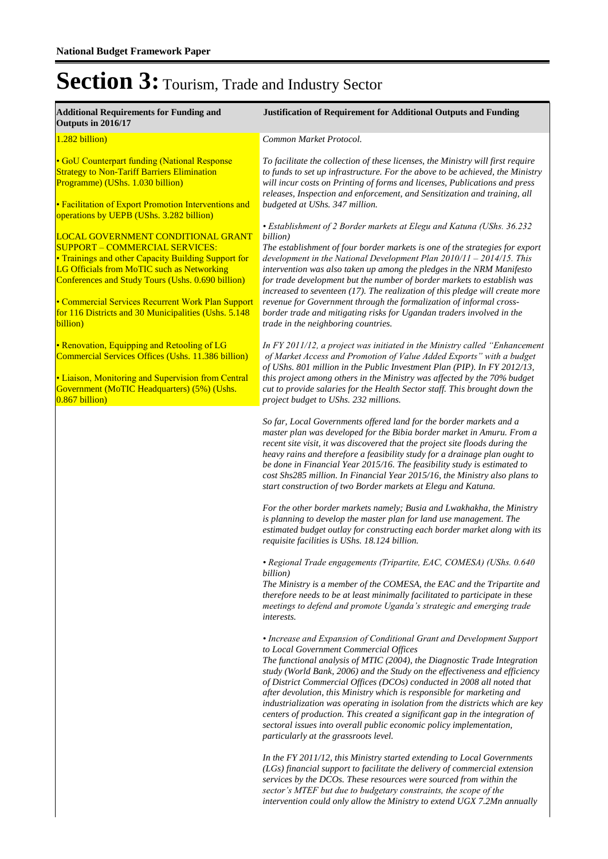| <b>Additional Requirements for Funding and</b><br>Outputs in 2016/17                                                                                                                                                                                                                                                                                                  | <b>Justification of Requirement for Additional Outputs and Funding</b>                                                                                                                                                                                                                                                                                                                                                                                                                                                                                                                                                                                                                                        |
|-----------------------------------------------------------------------------------------------------------------------------------------------------------------------------------------------------------------------------------------------------------------------------------------------------------------------------------------------------------------------|---------------------------------------------------------------------------------------------------------------------------------------------------------------------------------------------------------------------------------------------------------------------------------------------------------------------------------------------------------------------------------------------------------------------------------------------------------------------------------------------------------------------------------------------------------------------------------------------------------------------------------------------------------------------------------------------------------------|
| 1.282 billion)                                                                                                                                                                                                                                                                                                                                                        | Common Market Protocol.                                                                                                                                                                                                                                                                                                                                                                                                                                                                                                                                                                                                                                                                                       |
| • GoU Counterpart funding (National Response<br><b>Strategy to Non-Tariff Barriers Elimination</b><br>Programme) (UShs. 1.030 billion)<br>• Facilitation of Export Promotion Interventions and<br>operations by UEPB (UShs. 3.282 billion)                                                                                                                            | To facilitate the collection of these licenses, the Ministry will first require<br>to funds to set up infrastructure. For the above to be achieved, the Ministry<br>will incur costs on Printing of forms and licenses, Publications and press<br>releases, Inspection and enforcement, and Sensitization and training, all<br>budgeted at UShs. 347 million.                                                                                                                                                                                                                                                                                                                                                 |
| <b>LOCAL GOVERNMENT CONDITIONAL GRANT</b><br><b>SUPPORT - COMMERCIAL SERVICES:</b><br>• Trainings and other Capacity Building Support for<br>LG Officials from MoTIC such as Networking<br>Conferences and Study Tours (Ushs. 0.690 billion)<br>• Commercial Services Recurrent Work Plan Support<br>for 116 Districts and 30 Municipalities (Ushs. 5.148<br>billion) | • Establishment of 2 Border markets at Elegu and Katuna (UShs. 36.232<br>billion)<br>The establishment of four border markets is one of the strategies for export<br>development in the National Development Plan $2010/11 - 2014/15$ . This<br>intervention was also taken up among the pledges in the NRM Manifesto<br>for trade development but the number of border markets to establish was<br>increased to seventeen (17). The realization of this pledge will create more<br>revenue for Government through the formalization of informal cross-<br>border trade and mitigating risks for Ugandan traders involved in the<br>trade in the neighboring countries.                                       |
| • Renovation, Equipping and Retooling of LG<br>Commercial Services Offices (Ushs. 11.386 billion)<br>• Liaison, Monitoring and Supervision from Central<br>Government (MoTIC Headquarters) (5%) (Ushs.<br>$0.867$ billion)                                                                                                                                            | In FY 2011/12, a project was initiated in the Ministry called "Enhancement"<br>of Market Access and Promotion of Value Added Exports" with a budget<br>of UShs. 801 million in the Public Investment Plan (PIP). In FY 2012/13,<br>this project among others in the Ministry was affected by the 70% budget<br>cut to provide salaries for the Health Sector staff. This brought down the<br>project budget to UShs. 232 millions.                                                                                                                                                                                                                                                                            |
|                                                                                                                                                                                                                                                                                                                                                                       | So far, Local Governments offered land for the border markets and a<br>master plan was developed for the Bibia border market in Amuru. From a<br>recent site visit, it was discovered that the project site floods during the<br>heavy rains and therefore a feasibility study for a drainage plan ought to<br>be done in Financial Year 2015/16. The feasibility study is estimated to<br>cost Shs285 million. In Financial Year 2015/16, the Ministry also plans to<br>start construction of two Border markets at Elegu and Katuna.                                                                                                                                                                        |
|                                                                                                                                                                                                                                                                                                                                                                       | For the other border markets namely; Busia and Lwakhakha, the Ministry<br>is planning to develop the master plan for land use management. The<br>estimated budget outlay for constructing each border market along with its<br>requisite facilities is UShs. 18.124 billion.                                                                                                                                                                                                                                                                                                                                                                                                                                  |
|                                                                                                                                                                                                                                                                                                                                                                       | • Regional Trade engagements (Tripartite, EAC, COMESA) (UShs. 0.640<br>billion)<br>The Ministry is a member of the COMESA, the EAC and the Tripartite and<br>therefore needs to be at least minimally facilitated to participate in these<br>meetings to defend and promote Uganda's strategic and emerging trade<br><i>interests.</i>                                                                                                                                                                                                                                                                                                                                                                        |
|                                                                                                                                                                                                                                                                                                                                                                       | • Increase and Expansion of Conditional Grant and Development Support<br>to Local Government Commercial Offices<br>The functional analysis of MTIC (2004), the Diagnostic Trade Integration<br>study (World Bank, 2006) and the Study on the effectiveness and efficiency<br>of District Commercial Offices (DCOs) conducted in 2008 all noted that<br>after devolution, this Ministry which is responsible for marketing and<br>industrialization was operating in isolation from the districts which are key<br>centers of production. This created a significant gap in the integration of<br>sectoral issues into overall public economic policy implementation,<br>particularly at the grassroots level. |
|                                                                                                                                                                                                                                                                                                                                                                       | In the FY 2011/12, this Ministry started extending to Local Governments<br>(LGs) financial support to facilitate the delivery of commercial extension<br>services by the DCOs. These resources were sourced from within the                                                                                                                                                                                                                                                                                                                                                                                                                                                                                   |

*services by the DCOs. These resources were sourced from within the sector's MTEF but due to budgetary constraints, the scope of the intervention could only allow the Ministry to extend UGX 7.2Mn annually*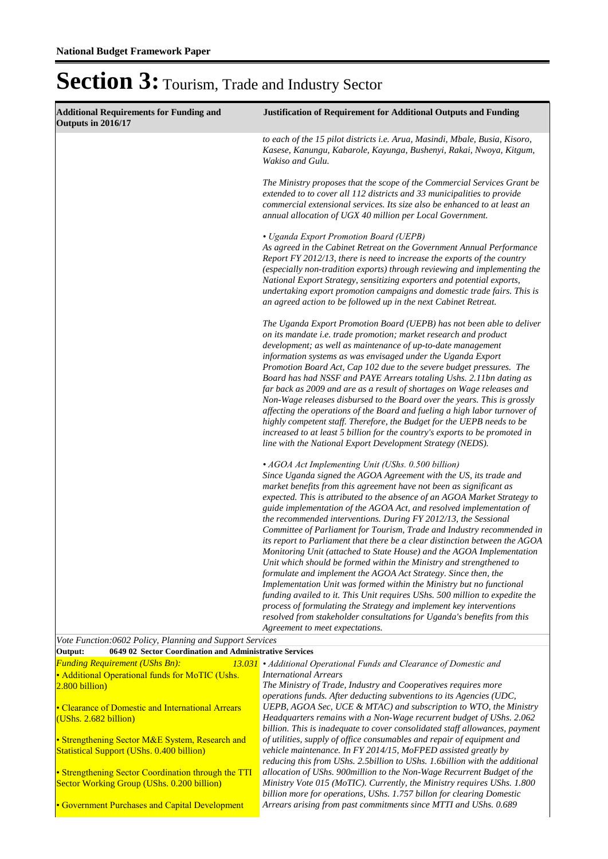| to each of the 15 pilot districts i.e. Arua, Masindi, Mbale, Busia, Kisoro,<br>Kasese, Kanungu, Kabarole, Kayunga, Bushenyi, Rakai, Nwoya, Kitgum,<br>Wakiso and Gulu.<br>The Ministry proposes that the scope of the Commercial Services Grant be<br>extended to to cover all 112 districts and 33 municipalities to provide<br>commercial extensional services. Its size also be enhanced to at least an<br>annual allocation of UGX 40 million per Local Government.<br>• Uganda Export Promotion Board (UEPB)<br>As agreed in the Cabinet Retreat on the Government Annual Performance<br>Report FY 2012/13, there is need to increase the exports of the country<br>(especially non-tradition exports) through reviewing and implementing the<br>National Export Strategy, sensitizing exporters and potential exports,<br>undertaking export promotion campaigns and domestic trade fairs. This is<br>an agreed action to be followed up in the next Cabinet Retreat.<br>The Uganda Export Promotion Board (UEPB) has not been able to deliver<br>on its mandate i.e. trade promotion; market research and product<br>development; as well as maintenance of up-to-date management<br>information systems as was envisaged under the Uganda Export<br>Promotion Board Act, Cap 102 due to the severe budget pressures. The<br>Board has had NSSF and PAYE Arrears totaling Ushs. 2.11bn dating as<br>far back as 2009 and are as a result of shortages on Wage releases and<br>Non-Wage releases disbursed to the Board over the years. This is grossly<br>affecting the operations of the Board and fueling a high labor turnover of<br>highly competent staff. Therefore, the Budget for the UEPB needs to be<br>increased to at least 5 billion for the country's exports to be promoted in<br>line with the National Export Development Strategy (NEDS).<br>• AGOA Act Implementing Unit (UShs. 0.500 billion)<br>Since Uganda signed the AGOA Agreement with the US, its trade and<br>market benefits from this agreement have not been as significant as<br>expected. This is attributed to the absence of an AGOA Market Strategy to<br>guide implementation of the AGOA Act, and resolved implementation of<br>the recommended interventions. During FY 2012/13, the Sessional<br>Committee of Parliament for Tourism, Trade and Industry recommended in<br>its report to Parliament that there be a clear distinction between the AGOA<br>Monitoring Unit (attached to State House) and the AGOA Implementation<br>Unit which should be formed within the Ministry and strengthened to<br>formulate and implement the AGOA Act Strategy. Since then, the<br>Implementation Unit was formed within the Ministry but no functional<br>funding availed to it. This Unit requires UShs. 500 million to expedite the<br>process of formulating the Strategy and implement key interventions<br>resolved from stakeholder consultations for Uganda's benefits from this<br>Agreement to meet expectations.<br>Vote Function:0602 Policy, Planning and Support Services<br>Output:<br>0649 02 Sector Coordination and Administrative Services<br><b>Funding Requirement (UShs Bn):</b><br>13.031 • Additional Operational Funds and Clearance of Domestic and<br>• Additional Operational funds for MoTIC (Ushs.<br><b>International Arrears</b><br>The Ministry of Trade, Industry and Cooperatives requires more<br>$2.800$ billion)<br>operations funds. After deducting subventions to its Agencies (UDC,<br>UEPB, AGOA Sec, UCE & MTAC) and subscription to WTO, the Ministry<br>• Clearance of Domestic and International Arrears<br>Headquarters remains with a Non-Wage recurrent budget of UShs. 2.062<br>(UShs. 2.682 billion)<br>billion. This is inadequate to cover consolidated staff allowances, payment<br>• Strengthening Sector M&E System, Research and<br>of utilities, supply of office consumables and repair of equipment and<br>vehicle maintenance. In FY 2014/15, MoFPED assisted greatly by<br><b>Statistical Support (UShs. 0.400 billion)</b><br>reducing this from UShs. 2.5billion to UShs. 1.6billion with the additional<br>allocation of UShs. 900 million to the Non-Wage Recurrent Budget of the<br>• Strengthening Sector Coordination through the TTI<br>Ministry Vote 015 (MoTIC). Currently, the Ministry requires UShs. 1.800<br>Sector Working Group (UShs. 0.200 billion)<br>billion more for operations, UShs. 1.757 billon for clearing Domestic<br>Arrears arising from past commitments since MTTI and UShs. 0.689<br>• Government Purchases and Capital Development | <b>Additional Requirements for Funding and</b><br>Outputs in 2016/17 | <b>Justification of Requirement for Additional Outputs and Funding</b> |
|-----------------------------------------------------------------------------------------------------------------------------------------------------------------------------------------------------------------------------------------------------------------------------------------------------------------------------------------------------------------------------------------------------------------------------------------------------------------------------------------------------------------------------------------------------------------------------------------------------------------------------------------------------------------------------------------------------------------------------------------------------------------------------------------------------------------------------------------------------------------------------------------------------------------------------------------------------------------------------------------------------------------------------------------------------------------------------------------------------------------------------------------------------------------------------------------------------------------------------------------------------------------------------------------------------------------------------------------------------------------------------------------------------------------------------------------------------------------------------------------------------------------------------------------------------------------------------------------------------------------------------------------------------------------------------------------------------------------------------------------------------------------------------------------------------------------------------------------------------------------------------------------------------------------------------------------------------------------------------------------------------------------------------------------------------------------------------------------------------------------------------------------------------------------------------------------------------------------------------------------------------------------------------------------------------------------------------------------------------------------------------------------------------------------------------------------------------------------------------------------------------------------------------------------------------------------------------------------------------------------------------------------------------------------------------------------------------------------------------------------------------------------------------------------------------------------------------------------------------------------------------------------------------------------------------------------------------------------------------------------------------------------------------------------------------------------------------------------------------------------------------------------------------------------------------------------------------------------------------------------------------------------------------------------------------------------------------------------------------------------------------------------------------------------------------------------------------------------------------------------------------------------------------------------------------------------------------------------------------------------------------------------------------------------------------------------------------------------------------------------------------------------------------------------------------------------------------------------------------------------------------------------------------------------------------------------------------------------------------------------------------------------------------------------------------------------------------------------------------------------------------------------------------------------------------------------------------------------------------------------------------------------------------------------------------------------------------------------------------------------------------------------------------------------------------------------------------------------------------------------------------------------------------------------------------------------------------------------------------------------------------|----------------------------------------------------------------------|------------------------------------------------------------------------|
|                                                                                                                                                                                                                                                                                                                                                                                                                                                                                                                                                                                                                                                                                                                                                                                                                                                                                                                                                                                                                                                                                                                                                                                                                                                                                                                                                                                                                                                                                                                                                                                                                                                                                                                                                                                                                                                                                                                                                                                                                                                                                                                                                                                                                                                                                                                                                                                                                                                                                                                                                                                                                                                                                                                                                                                                                                                                                                                                                                                                                                                                                                                                                                                                                                                                                                                                                                                                                                                                                                                                                                                                                                                                                                                                                                                                                                                                                                                                                                                                                                                                                                                                                                                                                                                                                                                                                                                                                                                                                                                                                                                                                             |                                                                      |                                                                        |
|                                                                                                                                                                                                                                                                                                                                                                                                                                                                                                                                                                                                                                                                                                                                                                                                                                                                                                                                                                                                                                                                                                                                                                                                                                                                                                                                                                                                                                                                                                                                                                                                                                                                                                                                                                                                                                                                                                                                                                                                                                                                                                                                                                                                                                                                                                                                                                                                                                                                                                                                                                                                                                                                                                                                                                                                                                                                                                                                                                                                                                                                                                                                                                                                                                                                                                                                                                                                                                                                                                                                                                                                                                                                                                                                                                                                                                                                                                                                                                                                                                                                                                                                                                                                                                                                                                                                                                                                                                                                                                                                                                                                                             |                                                                      |                                                                        |
|                                                                                                                                                                                                                                                                                                                                                                                                                                                                                                                                                                                                                                                                                                                                                                                                                                                                                                                                                                                                                                                                                                                                                                                                                                                                                                                                                                                                                                                                                                                                                                                                                                                                                                                                                                                                                                                                                                                                                                                                                                                                                                                                                                                                                                                                                                                                                                                                                                                                                                                                                                                                                                                                                                                                                                                                                                                                                                                                                                                                                                                                                                                                                                                                                                                                                                                                                                                                                                                                                                                                                                                                                                                                                                                                                                                                                                                                                                                                                                                                                                                                                                                                                                                                                                                                                                                                                                                                                                                                                                                                                                                                                             |                                                                      |                                                                        |
|                                                                                                                                                                                                                                                                                                                                                                                                                                                                                                                                                                                                                                                                                                                                                                                                                                                                                                                                                                                                                                                                                                                                                                                                                                                                                                                                                                                                                                                                                                                                                                                                                                                                                                                                                                                                                                                                                                                                                                                                                                                                                                                                                                                                                                                                                                                                                                                                                                                                                                                                                                                                                                                                                                                                                                                                                                                                                                                                                                                                                                                                                                                                                                                                                                                                                                                                                                                                                                                                                                                                                                                                                                                                                                                                                                                                                                                                                                                                                                                                                                                                                                                                                                                                                                                                                                                                                                                                                                                                                                                                                                                                                             |                                                                      |                                                                        |
|                                                                                                                                                                                                                                                                                                                                                                                                                                                                                                                                                                                                                                                                                                                                                                                                                                                                                                                                                                                                                                                                                                                                                                                                                                                                                                                                                                                                                                                                                                                                                                                                                                                                                                                                                                                                                                                                                                                                                                                                                                                                                                                                                                                                                                                                                                                                                                                                                                                                                                                                                                                                                                                                                                                                                                                                                                                                                                                                                                                                                                                                                                                                                                                                                                                                                                                                                                                                                                                                                                                                                                                                                                                                                                                                                                                                                                                                                                                                                                                                                                                                                                                                                                                                                                                                                                                                                                                                                                                                                                                                                                                                                             |                                                                      |                                                                        |
|                                                                                                                                                                                                                                                                                                                                                                                                                                                                                                                                                                                                                                                                                                                                                                                                                                                                                                                                                                                                                                                                                                                                                                                                                                                                                                                                                                                                                                                                                                                                                                                                                                                                                                                                                                                                                                                                                                                                                                                                                                                                                                                                                                                                                                                                                                                                                                                                                                                                                                                                                                                                                                                                                                                                                                                                                                                                                                                                                                                                                                                                                                                                                                                                                                                                                                                                                                                                                                                                                                                                                                                                                                                                                                                                                                                                                                                                                                                                                                                                                                                                                                                                                                                                                                                                                                                                                                                                                                                                                                                                                                                                                             |                                                                      |                                                                        |
|                                                                                                                                                                                                                                                                                                                                                                                                                                                                                                                                                                                                                                                                                                                                                                                                                                                                                                                                                                                                                                                                                                                                                                                                                                                                                                                                                                                                                                                                                                                                                                                                                                                                                                                                                                                                                                                                                                                                                                                                                                                                                                                                                                                                                                                                                                                                                                                                                                                                                                                                                                                                                                                                                                                                                                                                                                                                                                                                                                                                                                                                                                                                                                                                                                                                                                                                                                                                                                                                                                                                                                                                                                                                                                                                                                                                                                                                                                                                                                                                                                                                                                                                                                                                                                                                                                                                                                                                                                                                                                                                                                                                                             |                                                                      |                                                                        |
|                                                                                                                                                                                                                                                                                                                                                                                                                                                                                                                                                                                                                                                                                                                                                                                                                                                                                                                                                                                                                                                                                                                                                                                                                                                                                                                                                                                                                                                                                                                                                                                                                                                                                                                                                                                                                                                                                                                                                                                                                                                                                                                                                                                                                                                                                                                                                                                                                                                                                                                                                                                                                                                                                                                                                                                                                                                                                                                                                                                                                                                                                                                                                                                                                                                                                                                                                                                                                                                                                                                                                                                                                                                                                                                                                                                                                                                                                                                                                                                                                                                                                                                                                                                                                                                                                                                                                                                                                                                                                                                                                                                                                             |                                                                      |                                                                        |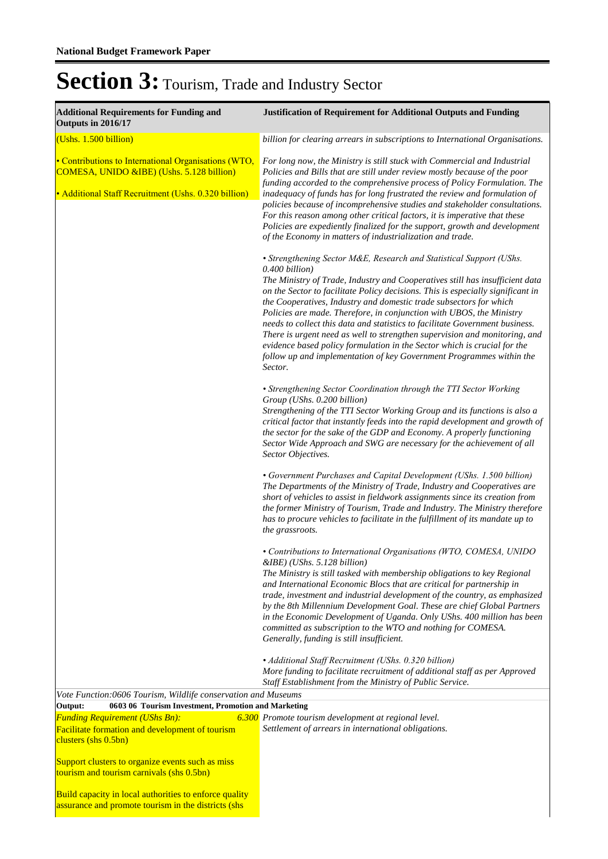| <b>Additional Requirements for Funding and</b><br>Outputs in 2016/17                                                                                      | <b>Justification of Requirement for Additional Outputs and Funding</b>                                                                                                                                                                                                                                                                                                                                                                                                                                                                                                                                                                                                                                                              |
|-----------------------------------------------------------------------------------------------------------------------------------------------------------|-------------------------------------------------------------------------------------------------------------------------------------------------------------------------------------------------------------------------------------------------------------------------------------------------------------------------------------------------------------------------------------------------------------------------------------------------------------------------------------------------------------------------------------------------------------------------------------------------------------------------------------------------------------------------------------------------------------------------------------|
| (Ushs. 1.500 billion)                                                                                                                                     | billion for clearing arrears in subscriptions to International Organisations.                                                                                                                                                                                                                                                                                                                                                                                                                                                                                                                                                                                                                                                       |
| • Contributions to International Organisations (WTO,<br>COMESA, UNIDO &IBE) (Ushs. 5.128 billion)<br>• Additional Staff Recruitment (Ushs. 0.320 billion) | For long now, the Ministry is still stuck with Commercial and Industrial<br>Policies and Bills that are still under review mostly because of the poor<br>funding accorded to the comprehensive process of Policy Formulation. The<br>inadequacy of funds has for long frustrated the review and formulation of<br>policies because of incomprehensive studies and stakeholder consultations.<br>For this reason among other critical factors, it is imperative that these<br>Policies are expediently finalized for the support, growth and development<br>of the Economy in matters of industrialization and trade.                                                                                                                |
|                                                                                                                                                           | • Strengthening Sector M&E, Research and Statistical Support (UShs.<br>0.400 billion)<br>The Ministry of Trade, Industry and Cooperatives still has insufficient data<br>on the Sector to facilitate Policy decisions. This is especially significant in<br>the Cooperatives, Industry and domestic trade subsectors for which<br>Policies are made. Therefore, in conjunction with UBOS, the Ministry<br>needs to collect this data and statistics to facilitate Government business.<br>There is urgent need as well to strengthen supervision and monitoring, and<br>evidence based policy formulation in the Sector which is crucial for the<br>follow up and implementation of key Government Programmes within the<br>Sector. |
|                                                                                                                                                           | • Strengthening Sector Coordination through the TTI Sector Working<br>Group (UShs. 0.200 billion)<br>Strengthening of the TTI Sector Working Group and its functions is also a<br>critical factor that instantly feeds into the rapid development and growth of<br>the sector for the sake of the GDP and Economy. A properly functioning<br>Sector Wide Approach and SWG are necessary for the achievement of all<br>Sector Objectives.                                                                                                                                                                                                                                                                                            |
|                                                                                                                                                           | • Government Purchases and Capital Development (UShs. 1.500 billion)<br>The Departments of the Ministry of Trade, Industry and Cooperatives are<br>short of vehicles to assist in fieldwork assignments since its creation from<br>the former Ministry of Tourism, Trade and Industry. The Ministry therefore<br>has to procure vehicles to facilitate in the fulfillment of its mandate up to<br>the grassroots.                                                                                                                                                                                                                                                                                                                   |
|                                                                                                                                                           | • Contributions to International Organisations (WTO, COMESA, UNIDO<br>&IBE) (UShs. 5.128 billion)<br>The Ministry is still tasked with membership obligations to key Regional<br>and International Economic Blocs that are critical for partnership in<br>trade, investment and industrial development of the country, as emphasized<br>by the 8th Millennium Development Goal. These are chief Global Partners<br>in the Economic Development of Uganda. Only UShs. 400 million has been<br>committed as subscription to the WTO and nothing for COMESA.<br>Generally, funding is still insufficient.                                                                                                                              |
|                                                                                                                                                           | • Additional Staff Recruitment (UShs. 0.320 billion)<br>More funding to facilitate recruitment of additional staff as per Approved<br>Staff Establishment from the Ministry of Public Service.                                                                                                                                                                                                                                                                                                                                                                                                                                                                                                                                      |
| Vote Function:0606 Tourism, Wildlife conservation and Museums<br>Output:<br>0603 06 Tourism Investment, Promotion and Marketing                           |                                                                                                                                                                                                                                                                                                                                                                                                                                                                                                                                                                                                                                                                                                                                     |
| <b>Funding Requirement (UShs Bn):</b><br>Facilitate formation and development of tourism<br>clusters (shs 0.5bn)                                          | 6.300 Promote tourism development at regional level.<br>Settlement of arrears in international obligations.                                                                                                                                                                                                                                                                                                                                                                                                                                                                                                                                                                                                                         |
| Support clusters to organize events such as miss<br>tourism and tourism carnivals (shs 0.5bn)                                                             |                                                                                                                                                                                                                                                                                                                                                                                                                                                                                                                                                                                                                                                                                                                                     |
| Build capacity in local authorities to enforce quality<br>assurance and promote tourism in the districts (shs                                             |                                                                                                                                                                                                                                                                                                                                                                                                                                                                                                                                                                                                                                                                                                                                     |